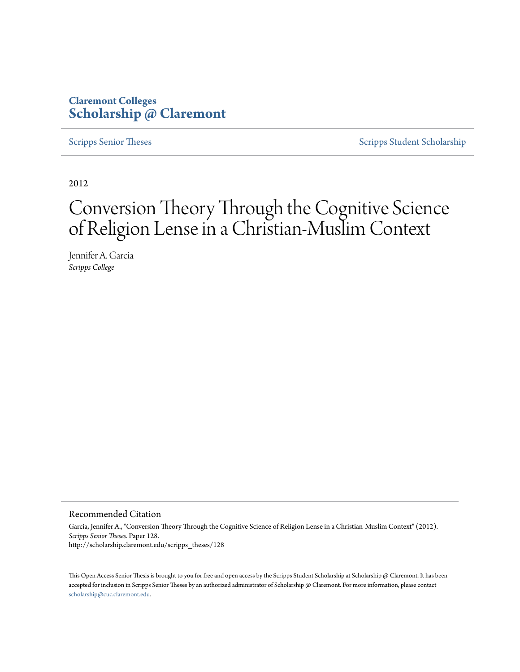## **Claremont Colleges [Scholarship @ Claremont](http://scholarship.claremont.edu)**

[Scripps Senior Theses](http://scholarship.claremont.edu/scripps_theses) [Scripps Student Scholarship](http://scholarship.claremont.edu/scripps_student)

2012

# Conversion Theory Through the Cognitive Science of Religion Lense in a Christian-Muslim Context

Jennifer A. Garcia *Scripps College*

#### Recommended Citation

Garcia, Jennifer A., "Conversion Theory Through the Cognitive Science of Religion Lense in a Christian-Muslim Context" (2012). *Scripps Senior Theses.* Paper 128. http://scholarship.claremont.edu/scripps\_theses/128

This Open Access Senior Thesis is brought to you for free and open access by the Scripps Student Scholarship at Scholarship @ Claremont. It has been accepted for inclusion in Scripps Senior Theses by an authorized administrator of Scholarship @ Claremont. For more information, please contact [scholarship@cuc.claremont.edu.](mailto:scholarship@cuc.claremont.edu)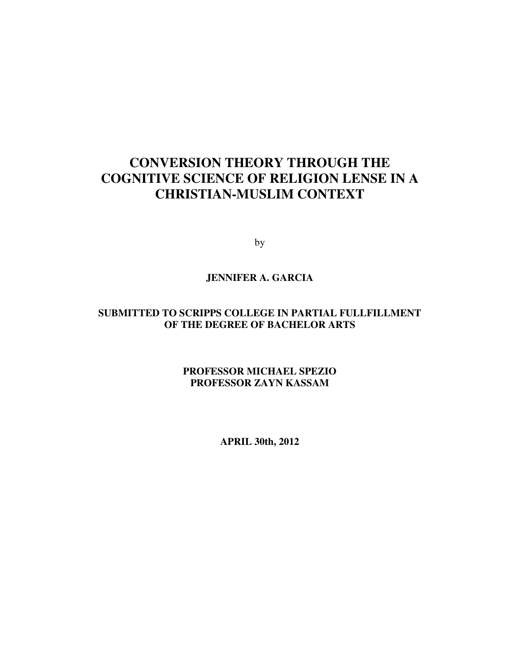## **CONVERSION THEORY THROUGH THE COGNITIVE SCIENCE OF RELIGION LENSE IN A CHRISTIAN-MUSLIM CONTEXT**

by

## **JENNIFER A. GARCIA**

## **SUBMITTED TO SCRIPPS COLLEGE IN PARTIAL FULLFILLMENT OF THE DEGREE OF BACHELOR ARTS**

**PROFESSOR MICHAEL SPEZIO PROFESSOR ZAYN KASSAM** 

**APRIL 30th, 2012**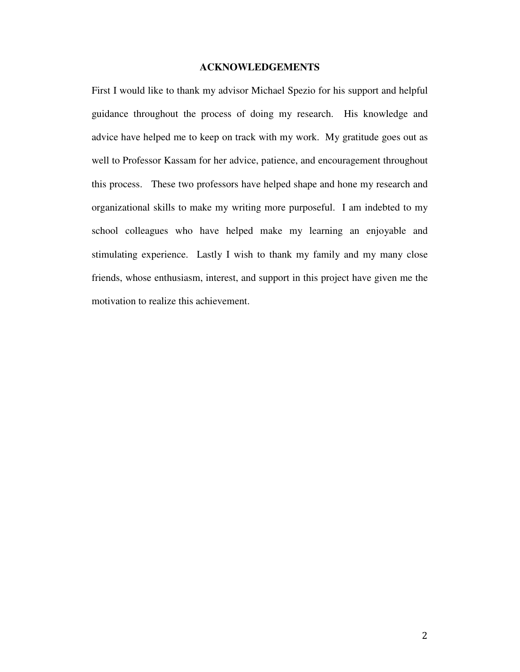#### **ACKNOWLEDGEMENTS**

First I would like to thank my advisor Michael Spezio for his support and helpful guidance throughout the process of doing my research. His knowledge and advice have helped me to keep on track with my work. My gratitude goes out as well to Professor Kassam for her advice, patience, and encouragement throughout this process. These two professors have helped shape and hone my research and organizational skills to make my writing more purposeful. I am indebted to my school colleagues who have helped make my learning an enjoyable and stimulating experience. Lastly I wish to thank my family and my many close friends, whose enthusiasm, interest, and support in this project have given me the motivation to realize this achievement.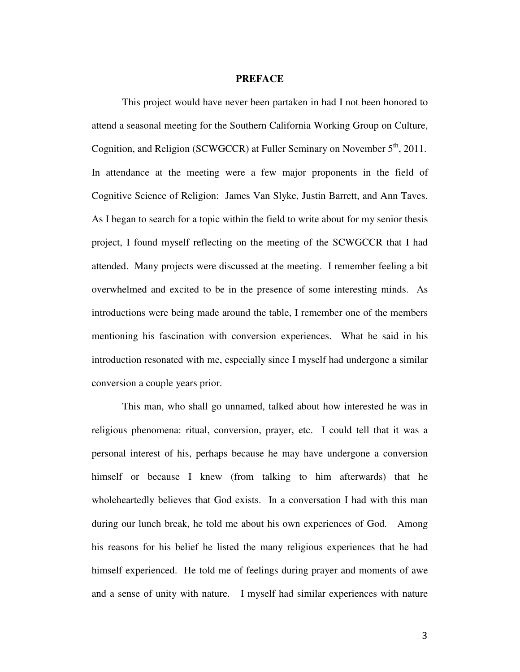#### **PREFACE**

 This project would have never been partaken in had I not been honored to attend a seasonal meeting for the Southern California Working Group on Culture, Cognition, and Religion (SCWGCCR) at Fuller Seminary on November  $5<sup>th</sup>$ , 2011. In attendance at the meeting were a few major proponents in the field of Cognitive Science of Religion: James Van Slyke, Justin Barrett, and Ann Taves. As I began to search for a topic within the field to write about for my senior thesis project, I found myself reflecting on the meeting of the SCWGCCR that I had attended. Many projects were discussed at the meeting. I remember feeling a bit overwhelmed and excited to be in the presence of some interesting minds. As introductions were being made around the table, I remember one of the members mentioning his fascination with conversion experiences. What he said in his introduction resonated with me, especially since I myself had undergone a similar conversion a couple years prior.

 This man, who shall go unnamed, talked about how interested he was in religious phenomena: ritual, conversion, prayer, etc. I could tell that it was a personal interest of his, perhaps because he may have undergone a conversion himself or because I knew (from talking to him afterwards) that he wholeheartedly believes that God exists. In a conversation I had with this man during our lunch break, he told me about his own experiences of God. Among his reasons for his belief he listed the many religious experiences that he had himself experienced. He told me of feelings during prayer and moments of awe and a sense of unity with nature. I myself had similar experiences with nature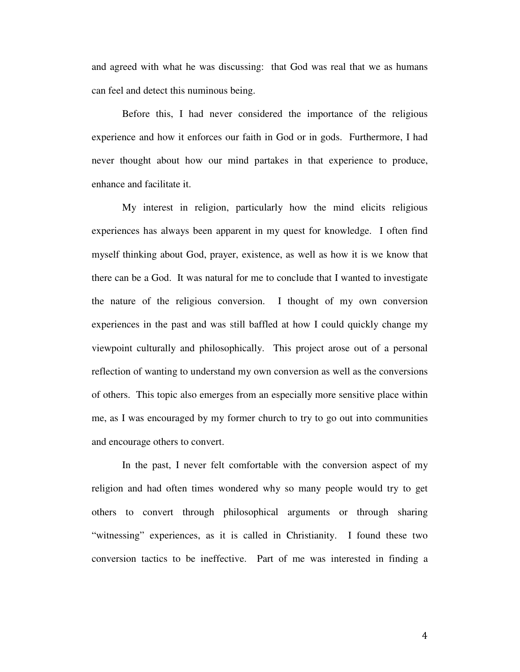and agreed with what he was discussing: that God was real that we as humans can feel and detect this numinous being.

 Before this, I had never considered the importance of the religious experience and how it enforces our faith in God or in gods. Furthermore, I had never thought about how our mind partakes in that experience to produce, enhance and facilitate it.

 My interest in religion, particularly how the mind elicits religious experiences has always been apparent in my quest for knowledge. I often find myself thinking about God, prayer, existence, as well as how it is we know that there can be a God. It was natural for me to conclude that I wanted to investigate the nature of the religious conversion. I thought of my own conversion experiences in the past and was still baffled at how I could quickly change my viewpoint culturally and philosophically. This project arose out of a personal reflection of wanting to understand my own conversion as well as the conversions of others. This topic also emerges from an especially more sensitive place within me, as I was encouraged by my former church to try to go out into communities and encourage others to convert.

 In the past, I never felt comfortable with the conversion aspect of my religion and had often times wondered why so many people would try to get others to convert through philosophical arguments or through sharing "witnessing" experiences, as it is called in Christianity. I found these two conversion tactics to be ineffective. Part of me was interested in finding a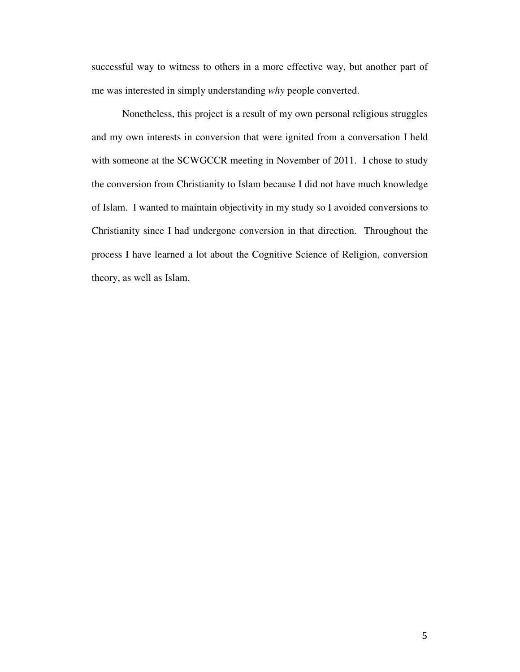successful way to witness to others in a more effective way, but another part of me was interested in simply understanding *why* people converted.

 Nonetheless, this project is a result of my own personal religious struggles and my own interests in conversion that were ignited from a conversation I held with someone at the SCWGCCR meeting in November of 2011. I chose to study the conversion from Christianity to Islam because I did not have much knowledge of Islam. I wanted to maintain objectivity in my study so I avoided conversions to Christianity since I had undergone conversion in that direction. Throughout the process I have learned a lot about the Cognitive Science of Religion, conversion theory, as well as Islam.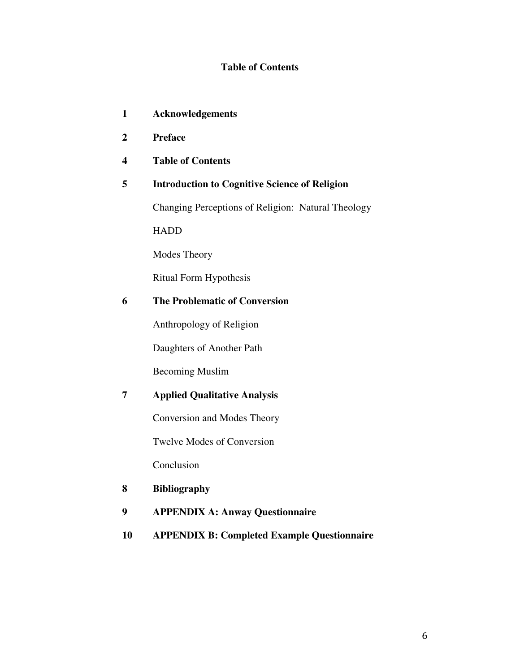## **Table of Contents**

- **1 Acknowledgements**
- **2 Preface**
- **4 Table of Contents**

## **5 Introduction to Cognitive Science of Religion**

Changing Perceptions of Religion: Natural Theology

HADD

Modes Theory

Ritual Form Hypothesis

## **6 The Problematic of Conversion**

Anthropology of Religion

Daughters of Another Path

Becoming Muslim

## **7 Applied Qualitative Analysis**

Conversion and Modes Theory

Twelve Modes of Conversion

Conclusion

#### **8 Bibliography**

- **9 APPENDIX A: Anway Questionnaire**
- **10 APPENDIX B: Completed Example Questionnaire**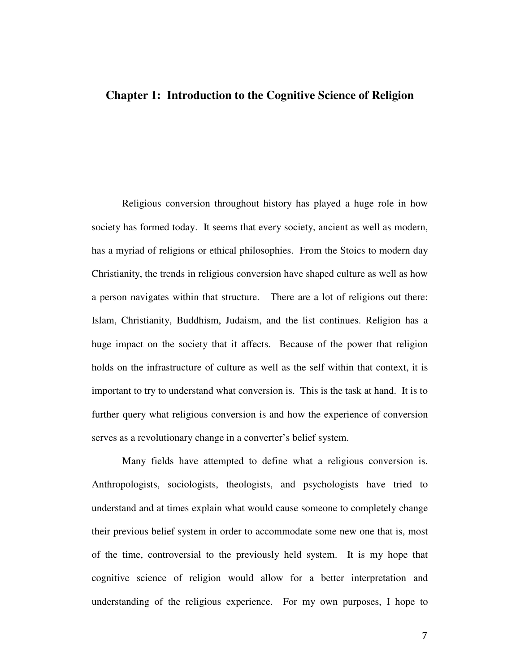## **Chapter 1: Introduction to the Cognitive Science of Religion**

Religious conversion throughout history has played a huge role in how society has formed today. It seems that every society, ancient as well as modern, has a myriad of religions or ethical philosophies. From the Stoics to modern day Christianity, the trends in religious conversion have shaped culture as well as how a person navigates within that structure. There are a lot of religions out there: Islam, Christianity, Buddhism, Judaism, and the list continues. Religion has a huge impact on the society that it affects. Because of the power that religion holds on the infrastructure of culture as well as the self within that context, it is important to try to understand what conversion is. This is the task at hand. It is to further query what religious conversion is and how the experience of conversion serves as a revolutionary change in a converter's belief system.

Many fields have attempted to define what a religious conversion is. Anthropologists, sociologists, theologists, and psychologists have tried to understand and at times explain what would cause someone to completely change their previous belief system in order to accommodate some new one that is, most of the time, controversial to the previously held system. It is my hope that cognitive science of religion would allow for a better interpretation and understanding of the religious experience. For my own purposes, I hope to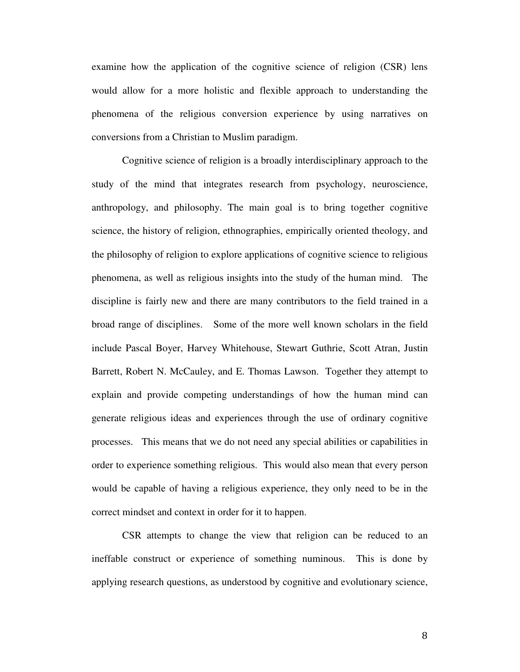examine how the application of the cognitive science of religion (CSR) lens would allow for a more holistic and flexible approach to understanding the phenomena of the religious conversion experience by using narratives on conversions from a Christian to Muslim paradigm.

Cognitive science of religion is a broadly interdisciplinary approach to the study of the mind that integrates research from psychology, neuroscience, anthropology, and philosophy. The main goal is to bring together cognitive science, the history of religion, ethnographies, empirically oriented theology, and the philosophy of religion to explore applications of cognitive science to religious phenomena, as well as religious insights into the study of the human mind. The discipline is fairly new and there are many contributors to the field trained in a broad range of disciplines. Some of the more well known scholars in the field include Pascal Boyer, Harvey Whitehouse, Stewart Guthrie, Scott Atran, Justin Barrett, Robert N. McCauley, and E. Thomas Lawson. Together they attempt to explain and provide competing understandings of how the human mind can generate religious ideas and experiences through the use of ordinary cognitive processes. This means that we do not need any special abilities or capabilities in order to experience something religious. This would also mean that every person would be capable of having a religious experience, they only need to be in the correct mindset and context in order for it to happen.

CSR attempts to change the view that religion can be reduced to an ineffable construct or experience of something numinous. This is done by applying research questions, as understood by cognitive and evolutionary science,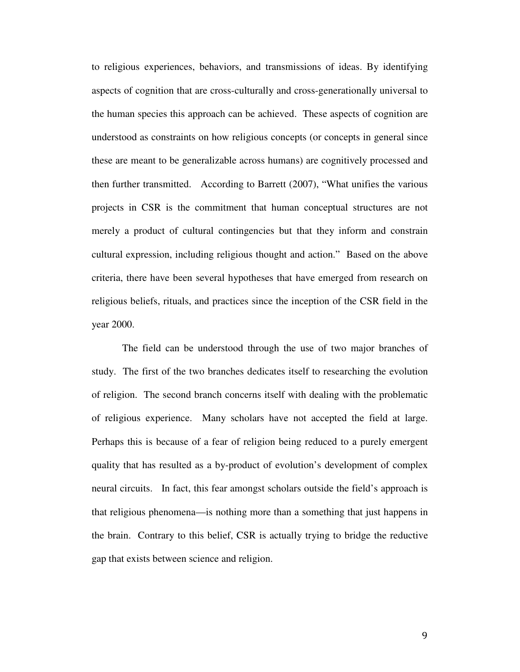to religious experiences, behaviors, and transmissions of ideas. By identifying aspects of cognition that are cross-culturally and cross-generationally universal to the human species this approach can be achieved. These aspects of cognition are understood as constraints on how religious concepts (or concepts in general since these are meant to be generalizable across humans) are cognitively processed and then further transmitted. According to Barrett (2007), "What unifies the various projects in CSR is the commitment that human conceptual structures are not merely a product of cultural contingencies but that they inform and constrain cultural expression, including religious thought and action." Based on the above criteria, there have been several hypotheses that have emerged from research on religious beliefs, rituals, and practices since the inception of the CSR field in the year 2000.

The field can be understood through the use of two major branches of study. The first of the two branches dedicates itself to researching the evolution of religion. The second branch concerns itself with dealing with the problematic of religious experience. Many scholars have not accepted the field at large. Perhaps this is because of a fear of religion being reduced to a purely emergent quality that has resulted as a by-product of evolution's development of complex neural circuits. In fact, this fear amongst scholars outside the field's approach is that religious phenomena—is nothing more than a something that just happens in the brain. Contrary to this belief, CSR is actually trying to bridge the reductive gap that exists between science and religion.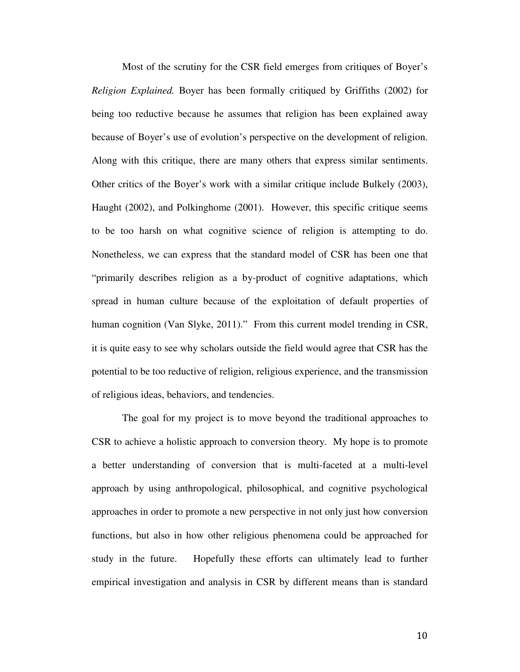Most of the scrutiny for the CSR field emerges from critiques of Boyer's *Religion Explained.* Boyer has been formally critiqued by Griffiths (2002) for being too reductive because he assumes that religion has been explained away because of Boyer's use of evolution's perspective on the development of religion. Along with this critique, there are many others that express similar sentiments. Other critics of the Boyer's work with a similar critique include Bulkely (2003), Haught (2002), and Polkinghome (2001). However, this specific critique seems to be too harsh on what cognitive science of religion is attempting to do. Nonetheless, we can express that the standard model of CSR has been one that "primarily describes religion as a by-product of cognitive adaptations, which spread in human culture because of the exploitation of default properties of human cognition (Van Slyke, 2011)." From this current model trending in CSR, it is quite easy to see why scholars outside the field would agree that CSR has the potential to be too reductive of religion, religious experience, and the transmission of religious ideas, behaviors, and tendencies.

The goal for my project is to move beyond the traditional approaches to CSR to achieve a holistic approach to conversion theory. My hope is to promote a better understanding of conversion that is multi-faceted at a multi-level approach by using anthropological, philosophical, and cognitive psychological approaches in order to promote a new perspective in not only just how conversion functions, but also in how other religious phenomena could be approached for study in the future. Hopefully these efforts can ultimately lead to further empirical investigation and analysis in CSR by different means than is standard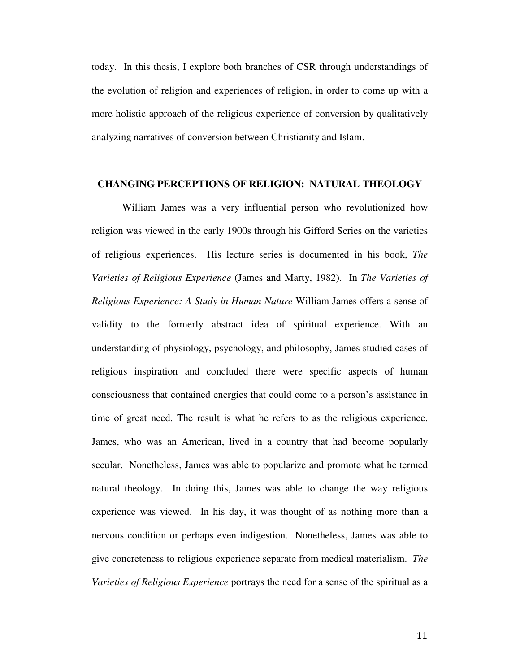today. In this thesis, I explore both branches of CSR through understandings of the evolution of religion and experiences of religion, in order to come up with a more holistic approach of the religious experience of conversion by qualitatively analyzing narratives of conversion between Christianity and Islam.

#### **CHANGING PERCEPTIONS OF RELIGION: NATURAL THEOLOGY**

William James was a very influential person who revolutionized how religion was viewed in the early 1900s through his Gifford Series on the varieties of religious experiences. His lecture series is documented in his book, *The Varieties of Religious Experience* (James and Marty, 1982). In *The Varieties of Religious Experience: A Study in Human Nature* William James offers a sense of validity to the formerly abstract idea of spiritual experience. With an understanding of physiology, psychology, and philosophy, James studied cases of religious inspiration and concluded there were specific aspects of human consciousness that contained energies that could come to a person's assistance in time of great need. The result is what he refers to as the religious experience. James, who was an American, lived in a country that had become popularly secular. Nonetheless, James was able to popularize and promote what he termed natural theology. In doing this, James was able to change the way religious experience was viewed. In his day, it was thought of as nothing more than a nervous condition or perhaps even indigestion. Nonetheless, James was able to give concreteness to religious experience separate from medical materialism. *The Varieties of Religious Experience* portrays the need for a sense of the spiritual as a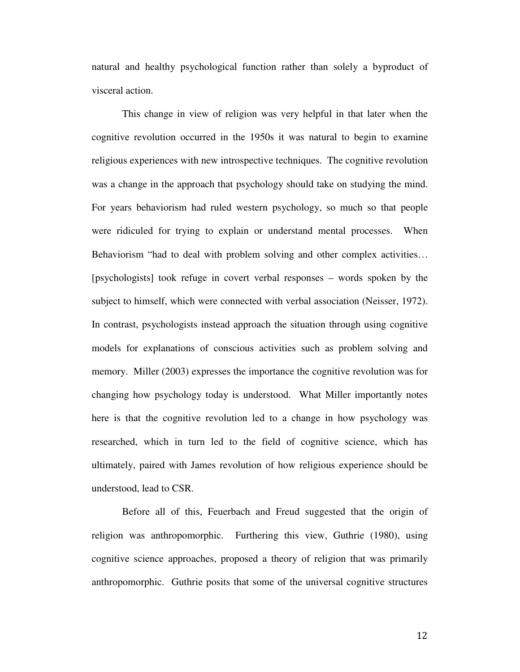natural and healthy psychological function rather than solely a byproduct of visceral action.

This change in view of religion was very helpful in that later when the cognitive revolution occurred in the 1950s it was natural to begin to examine religious experiences with new introspective techniques. The cognitive revolution was a change in the approach that psychology should take on studying the mind. For years behaviorism had ruled western psychology, so much so that people were ridiculed for trying to explain or understand mental processes. When Behaviorism "had to deal with problem solving and other complex activities… [psychologists] took refuge in covert verbal responses – words spoken by the subject to himself, which were connected with verbal association (Neisser, 1972). In contrast, psychologists instead approach the situation through using cognitive models for explanations of conscious activities such as problem solving and memory. Miller (2003) expresses the importance the cognitive revolution was for changing how psychology today is understood. What Miller importantly notes here is that the cognitive revolution led to a change in how psychology was researched, which in turn led to the field of cognitive science, which has ultimately, paired with James revolution of how religious experience should be understood, lead to CSR.

Before all of this, Feuerbach and Freud suggested that the origin of religion was anthropomorphic. Furthering this view, Guthrie (1980), using cognitive science approaches, proposed a theory of religion that was primarily anthropomorphic. Guthrie posits that some of the universal cognitive structures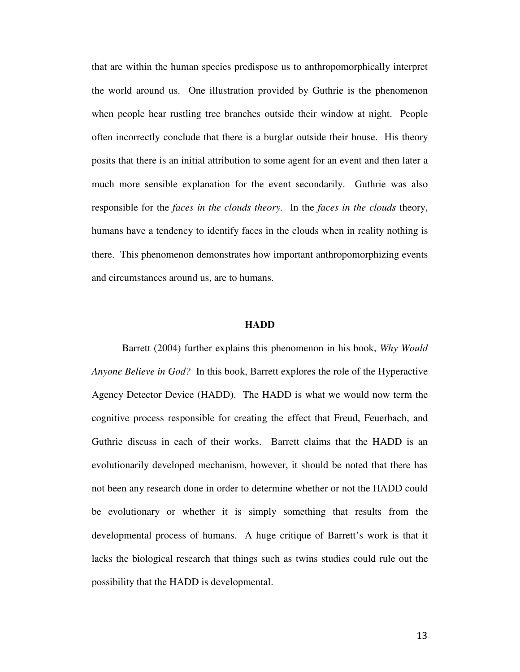that are within the human species predispose us to anthropomorphically interpret the world around us. One illustration provided by Guthrie is the phenomenon when people hear rustling tree branches outside their window at night. People often incorrectly conclude that there is a burglar outside their house. His theory posits that there is an initial attribution to some agent for an event and then later a much more sensible explanation for the event secondarily. Guthrie was also responsible for the *faces in the clouds theory.* In the *faces in the clouds* theory, humans have a tendency to identify faces in the clouds when in reality nothing is there. This phenomenon demonstrates how important anthropomorphizing events and circumstances around us, are to humans.

#### **HADD**

Barrett (2004) further explains this phenomenon in his book, *Why Would Anyone Believe in God?* In this book, Barrett explores the role of the Hyperactive Agency Detector Device (HADD). The HADD is what we would now term the cognitive process responsible for creating the effect that Freud, Feuerbach, and Guthrie discuss in each of their works. Barrett claims that the HADD is an evolutionarily developed mechanism, however, it should be noted that there has not been any research done in order to determine whether or not the HADD could be evolutionary or whether it is simply something that results from the developmental process of humans. A huge critique of Barrett's work is that it lacks the biological research that things such as twins studies could rule out the possibility that the HADD is developmental.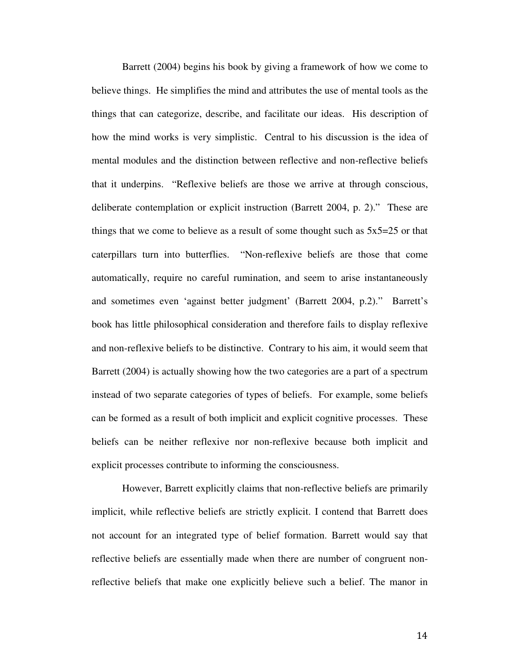Barrett (2004) begins his book by giving a framework of how we come to believe things. He simplifies the mind and attributes the use of mental tools as the things that can categorize, describe, and facilitate our ideas. His description of how the mind works is very simplistic. Central to his discussion is the idea of mental modules and the distinction between reflective and non-reflective beliefs that it underpins. "Reflexive beliefs are those we arrive at through conscious, deliberate contemplation or explicit instruction (Barrett 2004, p. 2)." These are things that we come to believe as a result of some thought such as  $5x5=25$  or that caterpillars turn into butterflies. "Non-reflexive beliefs are those that come automatically, require no careful rumination, and seem to arise instantaneously and sometimes even 'against better judgment' (Barrett 2004, p.2)." Barrett's book has little philosophical consideration and therefore fails to display reflexive and non-reflexive beliefs to be distinctive. Contrary to his aim, it would seem that Barrett (2004) is actually showing how the two categories are a part of a spectrum instead of two separate categories of types of beliefs. For example, some beliefs can be formed as a result of both implicit and explicit cognitive processes. These beliefs can be neither reflexive nor non-reflexive because both implicit and explicit processes contribute to informing the consciousness.

However, Barrett explicitly claims that non-reflective beliefs are primarily implicit, while reflective beliefs are strictly explicit. I contend that Barrett does not account for an integrated type of belief formation. Barrett would say that reflective beliefs are essentially made when there are number of congruent nonreflective beliefs that make one explicitly believe such a belief. The manor in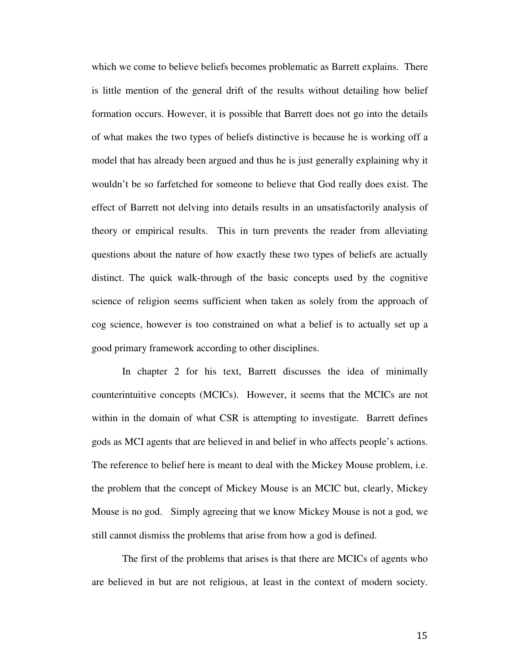which we come to believe beliefs becomes problematic as Barrett explains. There is little mention of the general drift of the results without detailing how belief formation occurs. However, it is possible that Barrett does not go into the details of what makes the two types of beliefs distinctive is because he is working off a model that has already been argued and thus he is just generally explaining why it wouldn't be so farfetched for someone to believe that God really does exist. The effect of Barrett not delving into details results in an unsatisfactorily analysis of theory or empirical results. This in turn prevents the reader from alleviating questions about the nature of how exactly these two types of beliefs are actually distinct. The quick walk-through of the basic concepts used by the cognitive science of religion seems sufficient when taken as solely from the approach of cog science, however is too constrained on what a belief is to actually set up a good primary framework according to other disciplines.

In chapter 2 for his text, Barrett discusses the idea of minimally counterintuitive concepts (MCICs). However, it seems that the MCICs are not within in the domain of what CSR is attempting to investigate. Barrett defines gods as MCI agents that are believed in and belief in who affects people's actions. The reference to belief here is meant to deal with the Mickey Mouse problem, i.e. the problem that the concept of Mickey Mouse is an MCIC but, clearly, Mickey Mouse is no god. Simply agreeing that we know Mickey Mouse is not a god, we still cannot dismiss the problems that arise from how a god is defined.

The first of the problems that arises is that there are MCICs of agents who are believed in but are not religious, at least in the context of modern society.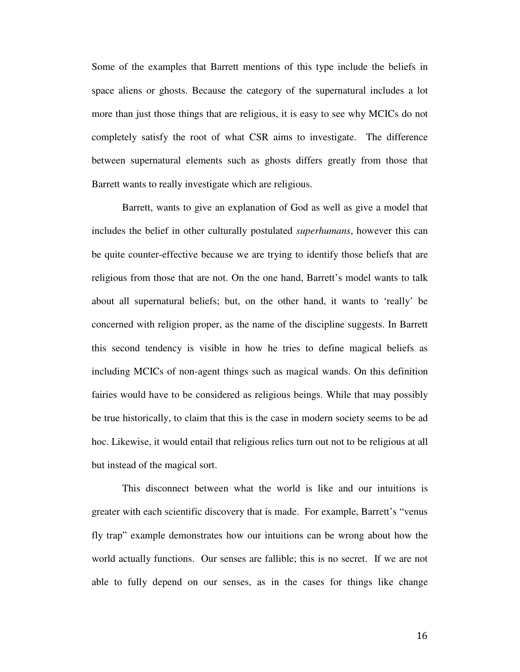Some of the examples that Barrett mentions of this type include the beliefs in space aliens or ghosts. Because the category of the supernatural includes a lot more than just those things that are religious, it is easy to see why MCICs do not completely satisfy the root of what CSR aims to investigate. The difference between supernatural elements such as ghosts differs greatly from those that Barrett wants to really investigate which are religious.

Barrett, wants to give an explanation of God as well as give a model that includes the belief in other culturally postulated *superhumans*, however this can be quite counter-effective because we are trying to identify those beliefs that are religious from those that are not. On the one hand, Barrett's model wants to talk about all supernatural beliefs; but, on the other hand, it wants to 'really' be concerned with religion proper, as the name of the discipline suggests. In Barrett this second tendency is visible in how he tries to define magical beliefs as including MCICs of non-agent things such as magical wands. On this definition fairies would have to be considered as religious beings. While that may possibly be true historically, to claim that this is the case in modern society seems to be ad hoc. Likewise, it would entail that religious relics turn out not to be religious at all but instead of the magical sort.

This disconnect between what the world is like and our intuitions is greater with each scientific discovery that is made. For example, Barrett's "venus fly trap" example demonstrates how our intuitions can be wrong about how the world actually functions. Our senses are fallible; this is no secret. If we are not able to fully depend on our senses, as in the cases for things like change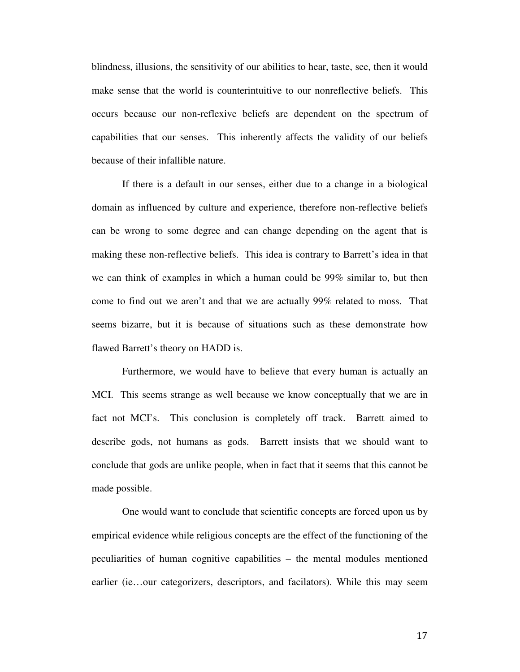blindness, illusions, the sensitivity of our abilities to hear, taste, see, then it would make sense that the world is counterintuitive to our nonreflective beliefs. This occurs because our non-reflexive beliefs are dependent on the spectrum of capabilities that our senses. This inherently affects the validity of our beliefs because of their infallible nature.

If there is a default in our senses, either due to a change in a biological domain as influenced by culture and experience, therefore non-reflective beliefs can be wrong to some degree and can change depending on the agent that is making these non-reflective beliefs. This idea is contrary to Barrett's idea in that we can think of examples in which a human could be 99% similar to, but then come to find out we aren't and that we are actually 99% related to moss. That seems bizarre, but it is because of situations such as these demonstrate how flawed Barrett's theory on HADD is.

Furthermore, we would have to believe that every human is actually an MCI. This seems strange as well because we know conceptually that we are in fact not MCI's. This conclusion is completely off track. Barrett aimed to describe gods, not humans as gods. Barrett insists that we should want to conclude that gods are unlike people, when in fact that it seems that this cannot be made possible.

One would want to conclude that scientific concepts are forced upon us by empirical evidence while religious concepts are the effect of the functioning of the peculiarities of human cognitive capabilities – the mental modules mentioned earlier (ie…our categorizers, descriptors, and facilators). While this may seem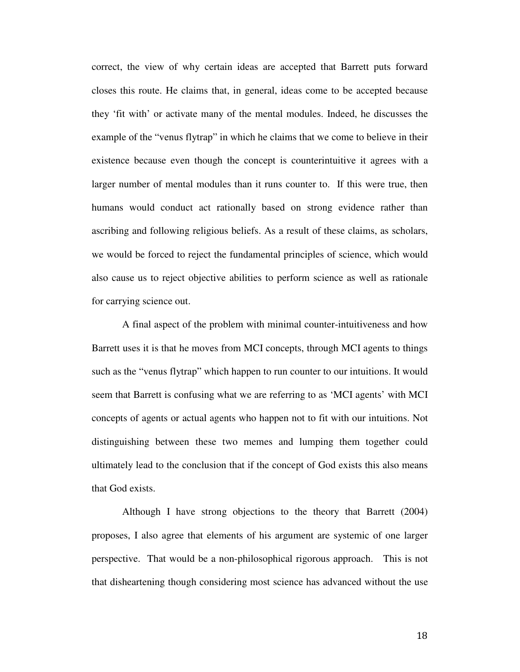correct, the view of why certain ideas are accepted that Barrett puts forward closes this route. He claims that, in general, ideas come to be accepted because they 'fit with' or activate many of the mental modules. Indeed, he discusses the example of the "venus flytrap" in which he claims that we come to believe in their existence because even though the concept is counterintuitive it agrees with a larger number of mental modules than it runs counter to. If this were true, then humans would conduct act rationally based on strong evidence rather than ascribing and following religious beliefs. As a result of these claims, as scholars, we would be forced to reject the fundamental principles of science, which would also cause us to reject objective abilities to perform science as well as rationale for carrying science out.

A final aspect of the problem with minimal counter-intuitiveness and how Barrett uses it is that he moves from MCI concepts, through MCI agents to things such as the "venus flytrap" which happen to run counter to our intuitions. It would seem that Barrett is confusing what we are referring to as 'MCI agents' with MCI concepts of agents or actual agents who happen not to fit with our intuitions. Not distinguishing between these two memes and lumping them together could ultimately lead to the conclusion that if the concept of God exists this also means that God exists.

Although I have strong objections to the theory that Barrett (2004) proposes, I also agree that elements of his argument are systemic of one larger perspective. That would be a non-philosophical rigorous approach. This is not that disheartening though considering most science has advanced without the use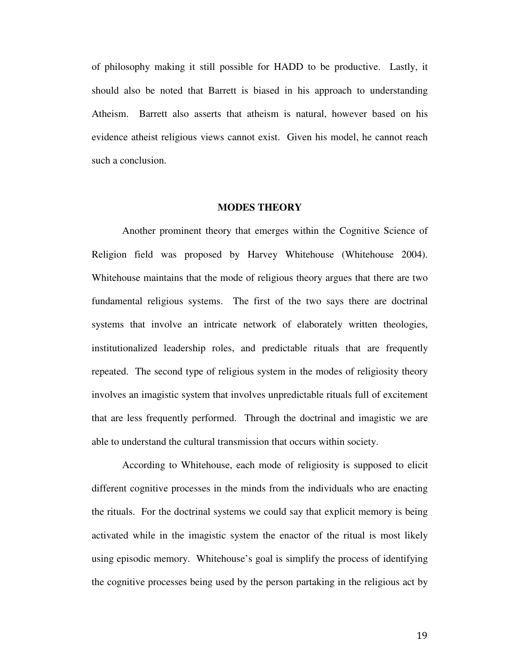of philosophy making it still possible for HADD to be productive. Lastly, it should also be noted that Barrett is biased in his approach to understanding Atheism. Barrett also asserts that atheism is natural, however based on his evidence atheist religious views cannot exist. Given his model, he cannot reach such a conclusion.

#### **MODES THEORY**

 Another prominent theory that emerges within the Cognitive Science of Religion field was proposed by Harvey Whitehouse (Whitehouse 2004). Whitehouse maintains that the mode of religious theory argues that there are two fundamental religious systems. The first of the two says there are doctrinal systems that involve an intricate network of elaborately written theologies, institutionalized leadership roles, and predictable rituals that are frequently repeated. The second type of religious system in the modes of religiosity theory involves an imagistic system that involves unpredictable rituals full of excitement that are less frequently performed. Through the doctrinal and imagistic we are able to understand the cultural transmission that occurs within society.

According to Whitehouse, each mode of religiosity is supposed to elicit different cognitive processes in the minds from the individuals who are enacting the rituals. For the doctrinal systems we could say that explicit memory is being activated while in the imagistic system the enactor of the ritual is most likely using episodic memory. Whitehouse's goal is simplify the process of identifying the cognitive processes being used by the person partaking in the religious act by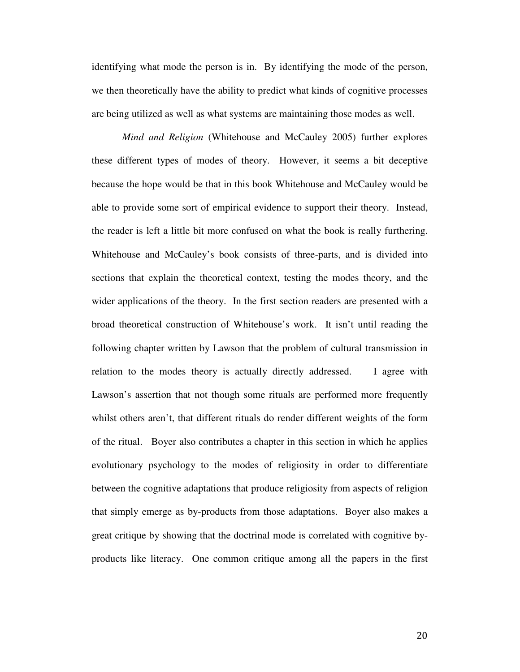identifying what mode the person is in. By identifying the mode of the person, we then theoretically have the ability to predict what kinds of cognitive processes are being utilized as well as what systems are maintaining those modes as well.

*Mind and Religion* (Whitehouse and McCauley 2005) further explores these different types of modes of theory. However, it seems a bit deceptive because the hope would be that in this book Whitehouse and McCauley would be able to provide some sort of empirical evidence to support their theory. Instead, the reader is left a little bit more confused on what the book is really furthering. Whitehouse and McCauley's book consists of three-parts, and is divided into sections that explain the theoretical context, testing the modes theory, and the wider applications of the theory. In the first section readers are presented with a broad theoretical construction of Whitehouse's work. It isn't until reading the following chapter written by Lawson that the problem of cultural transmission in relation to the modes theory is actually directly addressed. I agree with Lawson's assertion that not though some rituals are performed more frequently whilst others aren't, that different rituals do render different weights of the form of the ritual. Boyer also contributes a chapter in this section in which he applies evolutionary psychology to the modes of religiosity in order to differentiate between the cognitive adaptations that produce religiosity from aspects of religion that simply emerge as by-products from those adaptations. Boyer also makes a great critique by showing that the doctrinal mode is correlated with cognitive byproducts like literacy. One common critique among all the papers in the first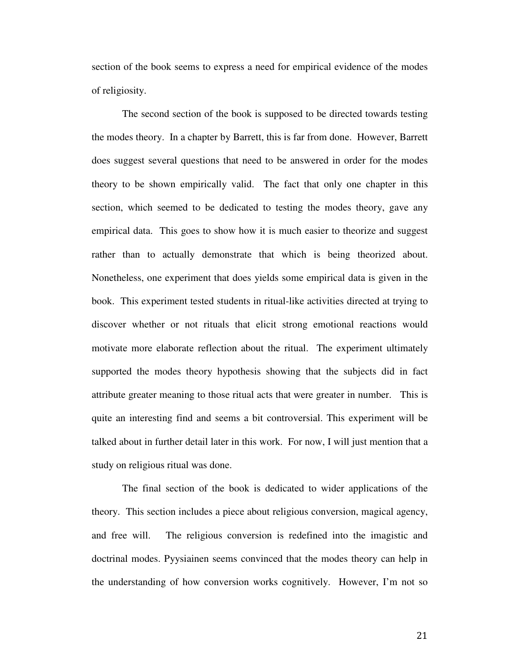section of the book seems to express a need for empirical evidence of the modes of religiosity.

 The second section of the book is supposed to be directed towards testing the modes theory. In a chapter by Barrett, this is far from done. However, Barrett does suggest several questions that need to be answered in order for the modes theory to be shown empirically valid. The fact that only one chapter in this section, which seemed to be dedicated to testing the modes theory, gave any empirical data. This goes to show how it is much easier to theorize and suggest rather than to actually demonstrate that which is being theorized about. Nonetheless, one experiment that does yields some empirical data is given in the book. This experiment tested students in ritual-like activities directed at trying to discover whether or not rituals that elicit strong emotional reactions would motivate more elaborate reflection about the ritual. The experiment ultimately supported the modes theory hypothesis showing that the subjects did in fact attribute greater meaning to those ritual acts that were greater in number. This is quite an interesting find and seems a bit controversial. This experiment will be talked about in further detail later in this work. For now, I will just mention that a study on religious ritual was done.

 The final section of the book is dedicated to wider applications of the theory. This section includes a piece about religious conversion, magical agency, and free will. The religious conversion is redefined into the imagistic and doctrinal modes. Pyysiainen seems convinced that the modes theory can help in the understanding of how conversion works cognitively. However, I'm not so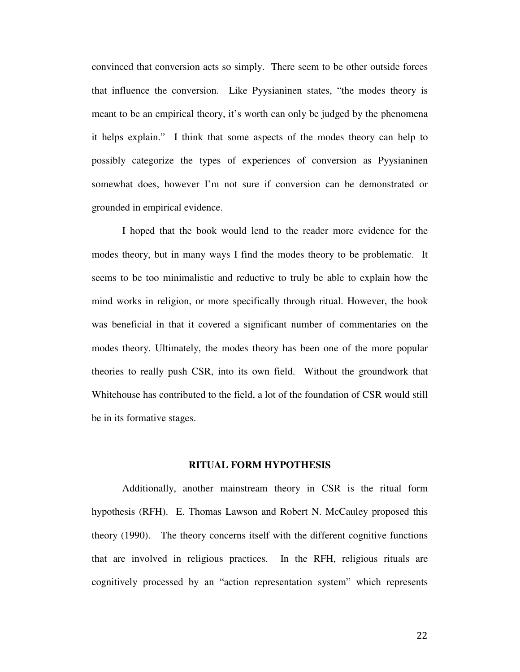convinced that conversion acts so simply. There seem to be other outside forces that influence the conversion. Like Pyysianinen states, "the modes theory is meant to be an empirical theory, it's worth can only be judged by the phenomena it helps explain." I think that some aspects of the modes theory can help to possibly categorize the types of experiences of conversion as Pyysianinen somewhat does, however I'm not sure if conversion can be demonstrated or grounded in empirical evidence.

 I hoped that the book would lend to the reader more evidence for the modes theory, but in many ways I find the modes theory to be problematic. It seems to be too minimalistic and reductive to truly be able to explain how the mind works in religion, or more specifically through ritual. However, the book was beneficial in that it covered a significant number of commentaries on the modes theory. Ultimately, the modes theory has been one of the more popular theories to really push CSR, into its own field. Without the groundwork that Whitehouse has contributed to the field, a lot of the foundation of CSR would still be in its formative stages.

#### **RITUAL FORM HYPOTHESIS**

Additionally, another mainstream theory in CSR is the ritual form hypothesis (RFH). E. Thomas Lawson and Robert N. McCauley proposed this theory (1990). The theory concerns itself with the different cognitive functions that are involved in religious practices. In the RFH, religious rituals are cognitively processed by an "action representation system" which represents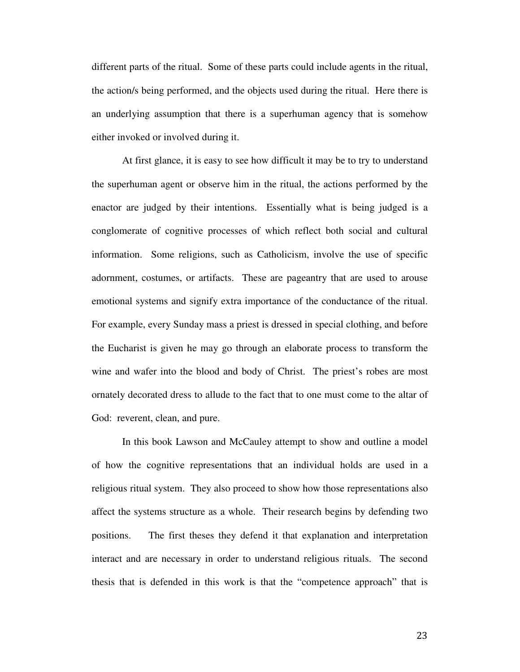different parts of the ritual. Some of these parts could include agents in the ritual, the action/s being performed, and the objects used during the ritual. Here there is an underlying assumption that there is a superhuman agency that is somehow either invoked or involved during it.

At first glance, it is easy to see how difficult it may be to try to understand the superhuman agent or observe him in the ritual, the actions performed by the enactor are judged by their intentions. Essentially what is being judged is a conglomerate of cognitive processes of which reflect both social and cultural information. Some religions, such as Catholicism, involve the use of specific adornment, costumes, or artifacts. These are pageantry that are used to arouse emotional systems and signify extra importance of the conductance of the ritual. For example, every Sunday mass a priest is dressed in special clothing, and before the Eucharist is given he may go through an elaborate process to transform the wine and wafer into the blood and body of Christ. The priest's robes are most ornately decorated dress to allude to the fact that to one must come to the altar of God: reverent, clean, and pure.

In this book Lawson and McCauley attempt to show and outline a model of how the cognitive representations that an individual holds are used in a religious ritual system. They also proceed to show how those representations also affect the systems structure as a whole. Their research begins by defending two positions. The first theses they defend it that explanation and interpretation interact and are necessary in order to understand religious rituals. The second thesis that is defended in this work is that the "competence approach" that is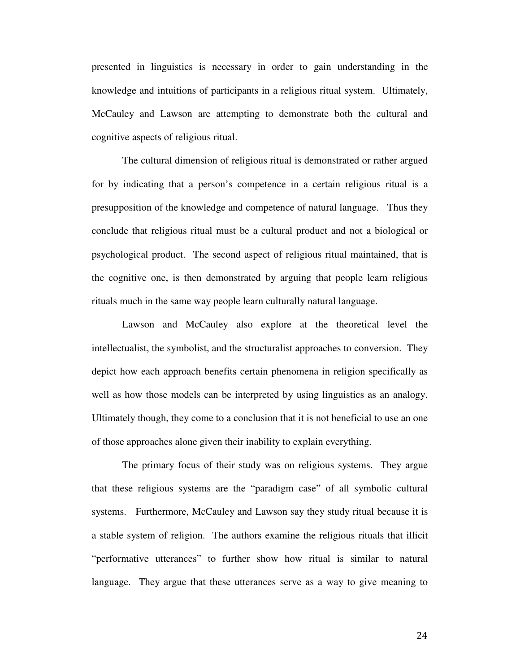presented in linguistics is necessary in order to gain understanding in the knowledge and intuitions of participants in a religious ritual system. Ultimately, McCauley and Lawson are attempting to demonstrate both the cultural and cognitive aspects of religious ritual.

The cultural dimension of religious ritual is demonstrated or rather argued for by indicating that a person's competence in a certain religious ritual is a presupposition of the knowledge and competence of natural language. Thus they conclude that religious ritual must be a cultural product and not a biological or psychological product. The second aspect of religious ritual maintained, that is the cognitive one, is then demonstrated by arguing that people learn religious rituals much in the same way people learn culturally natural language.

Lawson and McCauley also explore at the theoretical level the intellectualist, the symbolist, and the structuralist approaches to conversion. They depict how each approach benefits certain phenomena in religion specifically as well as how those models can be interpreted by using linguistics as an analogy. Ultimately though, they come to a conclusion that it is not beneficial to use an one of those approaches alone given their inability to explain everything.

The primary focus of their study was on religious systems. They argue that these religious systems are the "paradigm case" of all symbolic cultural systems. Furthermore, McCauley and Lawson say they study ritual because it is a stable system of religion. The authors examine the religious rituals that illicit "performative utterances" to further show how ritual is similar to natural language. They argue that these utterances serve as a way to give meaning to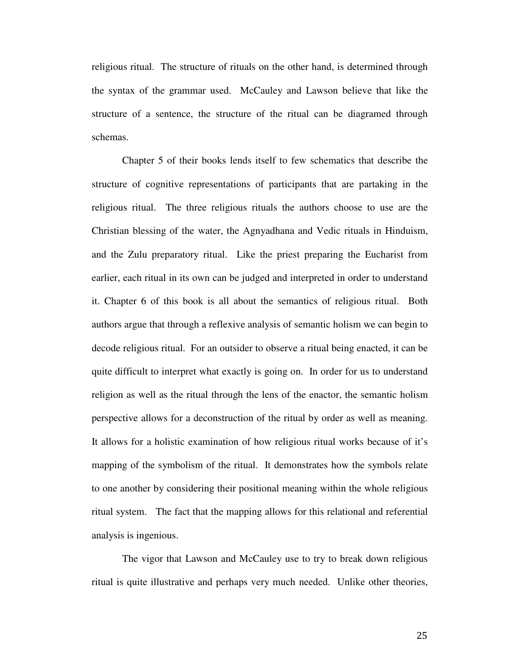religious ritual. The structure of rituals on the other hand, is determined through the syntax of the grammar used. McCauley and Lawson believe that like the structure of a sentence, the structure of the ritual can be diagramed through schemas.

Chapter 5 of their books lends itself to few schematics that describe the structure of cognitive representations of participants that are partaking in the religious ritual. The three religious rituals the authors choose to use are the Christian blessing of the water, the Agnyadhana and Vedic rituals in Hinduism, and the Zulu preparatory ritual. Like the priest preparing the Eucharist from earlier, each ritual in its own can be judged and interpreted in order to understand it. Chapter 6 of this book is all about the semantics of religious ritual. Both authors argue that through a reflexive analysis of semantic holism we can begin to decode religious ritual. For an outsider to observe a ritual being enacted, it can be quite difficult to interpret what exactly is going on. In order for us to understand religion as well as the ritual through the lens of the enactor, the semantic holism perspective allows for a deconstruction of the ritual by order as well as meaning. It allows for a holistic examination of how religious ritual works because of it's mapping of the symbolism of the ritual. It demonstrates how the symbols relate to one another by considering their positional meaning within the whole religious ritual system. The fact that the mapping allows for this relational and referential analysis is ingenious.

The vigor that Lawson and McCauley use to try to break down religious ritual is quite illustrative and perhaps very much needed. Unlike other theories,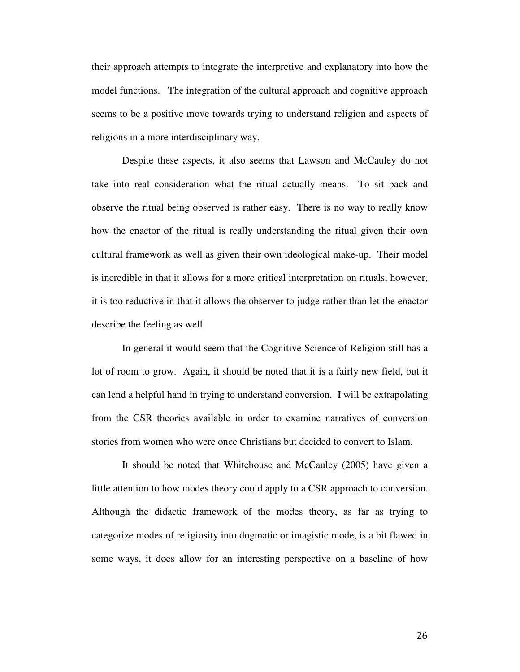their approach attempts to integrate the interpretive and explanatory into how the model functions. The integration of the cultural approach and cognitive approach seems to be a positive move towards trying to understand religion and aspects of religions in a more interdisciplinary way.

Despite these aspects, it also seems that Lawson and McCauley do not take into real consideration what the ritual actually means. To sit back and observe the ritual being observed is rather easy. There is no way to really know how the enactor of the ritual is really understanding the ritual given their own cultural framework as well as given their own ideological make-up. Their model is incredible in that it allows for a more critical interpretation on rituals, however, it is too reductive in that it allows the observer to judge rather than let the enactor describe the feeling as well.

In general it would seem that the Cognitive Science of Religion still has a lot of room to grow. Again, it should be noted that it is a fairly new field, but it can lend a helpful hand in trying to understand conversion. I will be extrapolating from the CSR theories available in order to examine narratives of conversion stories from women who were once Christians but decided to convert to Islam.

It should be noted that Whitehouse and McCauley (2005) have given a little attention to how modes theory could apply to a CSR approach to conversion. Although the didactic framework of the modes theory, as far as trying to categorize modes of religiosity into dogmatic or imagistic mode, is a bit flawed in some ways, it does allow for an interesting perspective on a baseline of how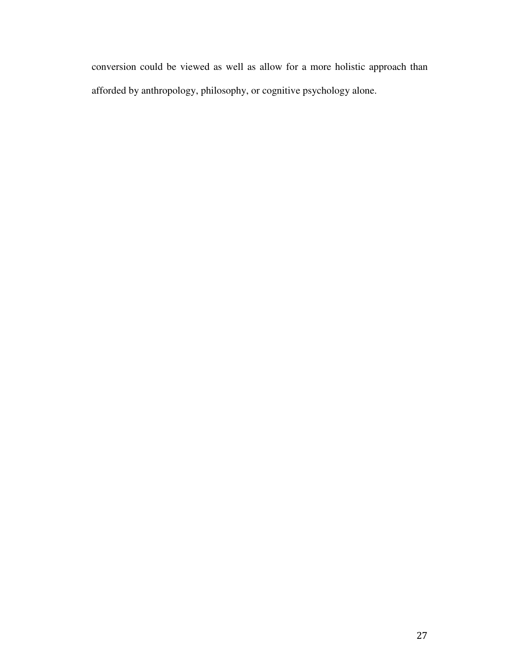conversion could be viewed as well as allow for a more holistic approach than afforded by anthropology, philosophy, or cognitive psychology alone.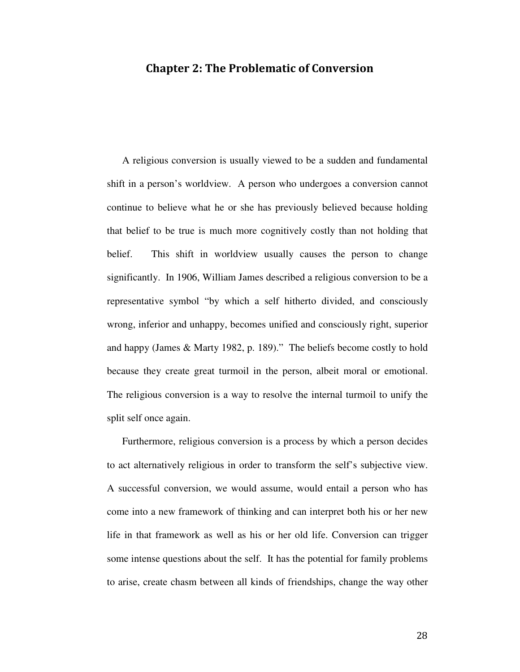## Chapter 2: The Problematic of Conversion

A religious conversion is usually viewed to be a sudden and fundamental shift in a person's worldview. A person who undergoes a conversion cannot continue to believe what he or she has previously believed because holding that belief to be true is much more cognitively costly than not holding that belief. This shift in worldview usually causes the person to change significantly. In 1906, William James described a religious conversion to be a representative symbol "by which a self hitherto divided, and consciously wrong, inferior and unhappy, becomes unified and consciously right, superior and happy (James & Marty 1982, p. 189)." The beliefs become costly to hold because they create great turmoil in the person, albeit moral or emotional. The religious conversion is a way to resolve the internal turmoil to unify the split self once again.

Furthermore, religious conversion is a process by which a person decides to act alternatively religious in order to transform the self's subjective view. A successful conversion, we would assume, would entail a person who has come into a new framework of thinking and can interpret both his or her new life in that framework as well as his or her old life. Conversion can trigger some intense questions about the self. It has the potential for family problems to arise, create chasm between all kinds of friendships, change the way other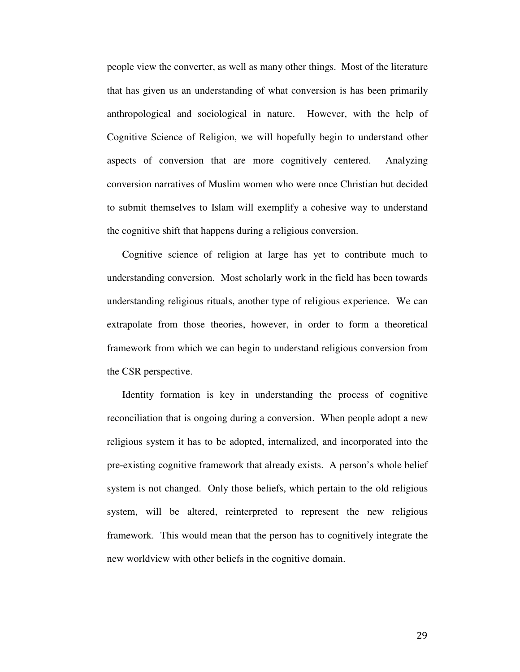people view the converter, as well as many other things. Most of the literature that has given us an understanding of what conversion is has been primarily anthropological and sociological in nature. However, with the help of Cognitive Science of Religion, we will hopefully begin to understand other aspects of conversion that are more cognitively centered. Analyzing conversion narratives of Muslim women who were once Christian but decided to submit themselves to Islam will exemplify a cohesive way to understand the cognitive shift that happens during a religious conversion.

Cognitive science of religion at large has yet to contribute much to understanding conversion. Most scholarly work in the field has been towards understanding religious rituals, another type of religious experience. We can extrapolate from those theories, however, in order to form a theoretical framework from which we can begin to understand religious conversion from the CSR perspective.

Identity formation is key in understanding the process of cognitive reconciliation that is ongoing during a conversion. When people adopt a new religious system it has to be adopted, internalized, and incorporated into the pre-existing cognitive framework that already exists. A person's whole belief system is not changed. Only those beliefs, which pertain to the old religious system, will be altered, reinterpreted to represent the new religious framework. This would mean that the person has to cognitively integrate the new worldview with other beliefs in the cognitive domain.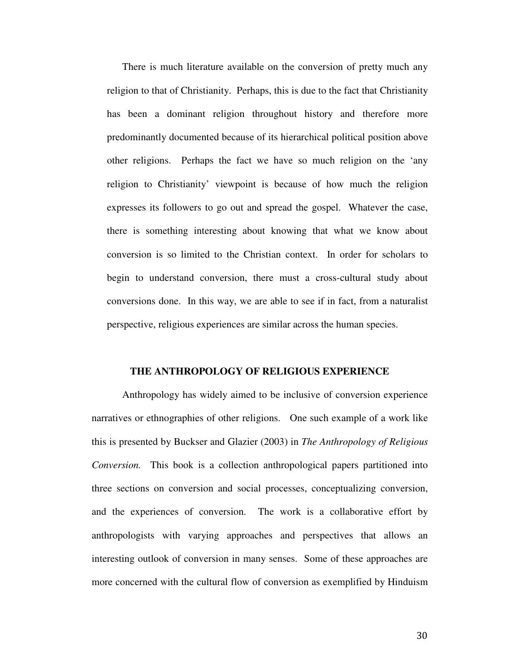There is much literature available on the conversion of pretty much any religion to that of Christianity. Perhaps, this is due to the fact that Christianity has been a dominant religion throughout history and therefore more predominantly documented because of its hierarchical political position above other religions. Perhaps the fact we have so much religion on the 'any religion to Christianity' viewpoint is because of how much the religion expresses its followers to go out and spread the gospel. Whatever the case, there is something interesting about knowing that what we know about conversion is so limited to the Christian context. In order for scholars to begin to understand conversion, there must a cross-cultural study about conversions done. In this way, we are able to see if in fact, from a naturalist perspective, religious experiences are similar across the human species.

#### **THE ANTHROPOLOGY OF RELIGIOUS EXPERIENCE**

Anthropology has widely aimed to be inclusive of conversion experience narratives or ethnographies of other religions. One such example of a work like this is presented by Buckser and Glazier (2003) in *The Anthropology of Religious Conversion.* This book is a collection anthropological papers partitioned into three sections on conversion and social processes, conceptualizing conversion, and the experiences of conversion. The work is a collaborative effort by anthropologists with varying approaches and perspectives that allows an interesting outlook of conversion in many senses. Some of these approaches are more concerned with the cultural flow of conversion as exemplified by Hinduism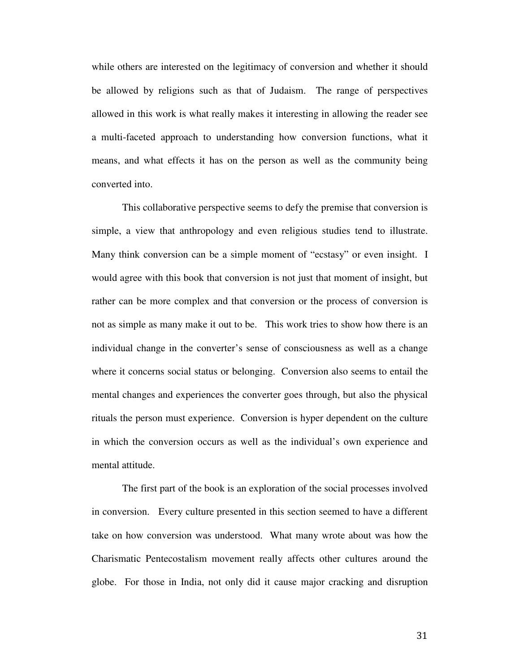while others are interested on the legitimacy of conversion and whether it should be allowed by religions such as that of Judaism. The range of perspectives allowed in this work is what really makes it interesting in allowing the reader see a multi-faceted approach to understanding how conversion functions, what it means, and what effects it has on the person as well as the community being converted into.

This collaborative perspective seems to defy the premise that conversion is simple, a view that anthropology and even religious studies tend to illustrate. Many think conversion can be a simple moment of "ecstasy" or even insight. I would agree with this book that conversion is not just that moment of insight, but rather can be more complex and that conversion or the process of conversion is not as simple as many make it out to be. This work tries to show how there is an individual change in the converter's sense of consciousness as well as a change where it concerns social status or belonging. Conversion also seems to entail the mental changes and experiences the converter goes through, but also the physical rituals the person must experience. Conversion is hyper dependent on the culture in which the conversion occurs as well as the individual's own experience and mental attitude.

The first part of the book is an exploration of the social processes involved in conversion. Every culture presented in this section seemed to have a different take on how conversion was understood. What many wrote about was how the Charismatic Pentecostalism movement really affects other cultures around the globe. For those in India, not only did it cause major cracking and disruption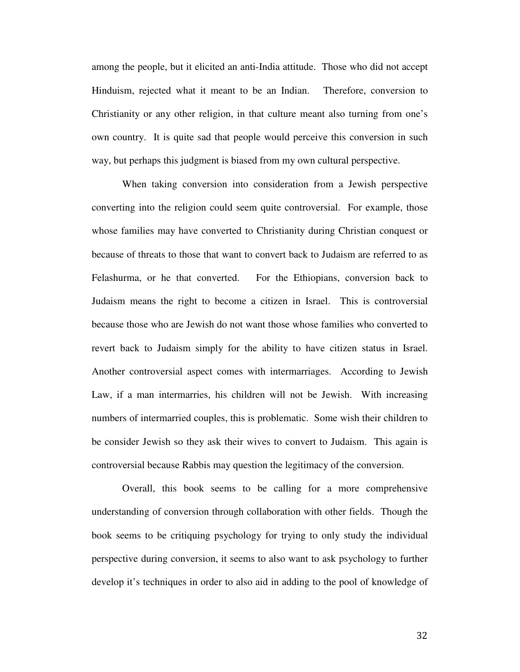among the people, but it elicited an anti-India attitude. Those who did not accept Hinduism, rejected what it meant to be an Indian. Therefore, conversion to Christianity or any other religion, in that culture meant also turning from one's own country. It is quite sad that people would perceive this conversion in such way, but perhaps this judgment is biased from my own cultural perspective.

When taking conversion into consideration from a Jewish perspective converting into the religion could seem quite controversial. For example, those whose families may have converted to Christianity during Christian conquest or because of threats to those that want to convert back to Judaism are referred to as Felashurma, or he that converted. For the Ethiopians, conversion back to Judaism means the right to become a citizen in Israel. This is controversial because those who are Jewish do not want those whose families who converted to revert back to Judaism simply for the ability to have citizen status in Israel. Another controversial aspect comes with intermarriages. According to Jewish Law, if a man intermarries, his children will not be Jewish. With increasing numbers of intermarried couples, this is problematic. Some wish their children to be consider Jewish so they ask their wives to convert to Judaism. This again is controversial because Rabbis may question the legitimacy of the conversion.

Overall, this book seems to be calling for a more comprehensive understanding of conversion through collaboration with other fields. Though the book seems to be critiquing psychology for trying to only study the individual perspective during conversion, it seems to also want to ask psychology to further develop it's techniques in order to also aid in adding to the pool of knowledge of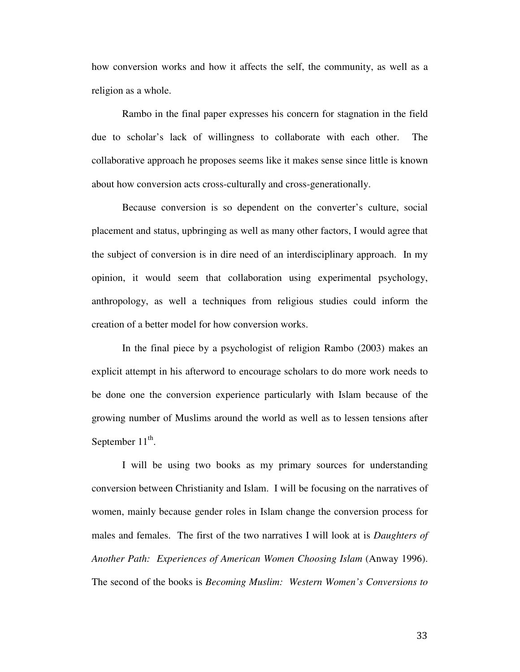how conversion works and how it affects the self, the community, as well as a religion as a whole.

Rambo in the final paper expresses his concern for stagnation in the field due to scholar's lack of willingness to collaborate with each other. The collaborative approach he proposes seems like it makes sense since little is known about how conversion acts cross-culturally and cross-generationally.

Because conversion is so dependent on the converter's culture, social placement and status, upbringing as well as many other factors, I would agree that the subject of conversion is in dire need of an interdisciplinary approach. In my opinion, it would seem that collaboration using experimental psychology, anthropology, as well a techniques from religious studies could inform the creation of a better model for how conversion works.

In the final piece by a psychologist of religion Rambo (2003) makes an explicit attempt in his afterword to encourage scholars to do more work needs to be done one the conversion experience particularly with Islam because of the growing number of Muslims around the world as well as to lessen tensions after September  $11^{\text{th}}$ .

 I will be using two books as my primary sources for understanding conversion between Christianity and Islam. I will be focusing on the narratives of women, mainly because gender roles in Islam change the conversion process for males and females. The first of the two narratives I will look at is *Daughters of Another Path: Experiences of American Women Choosing Islam* (Anway 1996). The second of the books is *Becoming Muslim: Western Women's Conversions to*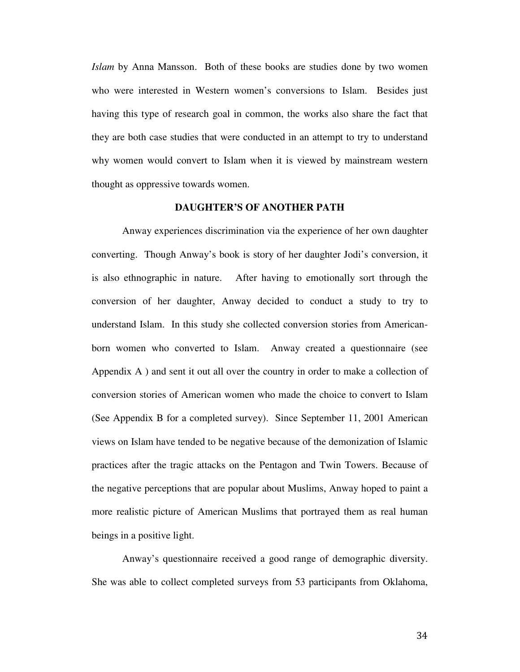*Islam* by Anna Mansson. Both of these books are studies done by two women who were interested in Western women's conversions to Islam. Besides just having this type of research goal in common, the works also share the fact that they are both case studies that were conducted in an attempt to try to understand why women would convert to Islam when it is viewed by mainstream western thought as oppressive towards women.

#### **DAUGHTER'S OF ANOTHER PATH**

Anway experiences discrimination via the experience of her own daughter converting. Though Anway's book is story of her daughter Jodi's conversion, it is also ethnographic in nature. After having to emotionally sort through the conversion of her daughter, Anway decided to conduct a study to try to understand Islam. In this study she collected conversion stories from Americanborn women who converted to Islam. Anway created a questionnaire (see Appendix A ) and sent it out all over the country in order to make a collection of conversion stories of American women who made the choice to convert to Islam (See Appendix B for a completed survey). Since September 11, 2001 American views on Islam have tended to be negative because of the demonization of Islamic practices after the tragic attacks on the Pentagon and Twin Towers. Because of the negative perceptions that are popular about Muslims, Anway hoped to paint a more realistic picture of American Muslims that portrayed them as real human beings in a positive light.

 Anway's questionnaire received a good range of demographic diversity. She was able to collect completed surveys from 53 participants from Oklahoma,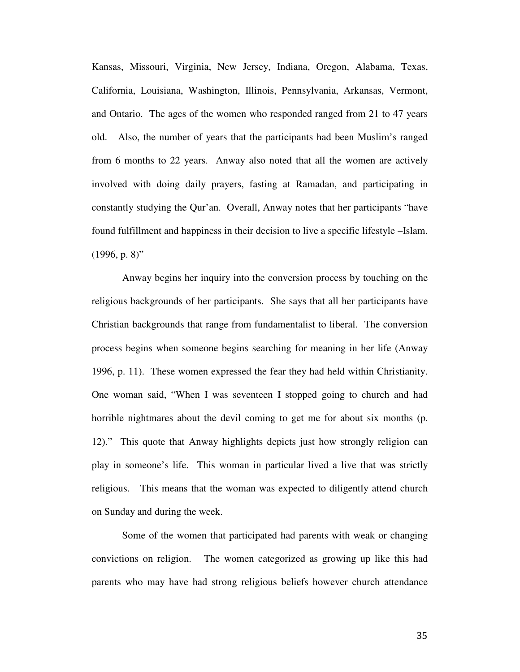Kansas, Missouri, Virginia, New Jersey, Indiana, Oregon, Alabama, Texas, California, Louisiana, Washington, Illinois, Pennsylvania, Arkansas, Vermont, and Ontario. The ages of the women who responded ranged from 21 to 47 years old. Also, the number of years that the participants had been Muslim's ranged from 6 months to 22 years. Anway also noted that all the women are actively involved with doing daily prayers, fasting at Ramadan, and participating in constantly studying the Qur'an. Overall, Anway notes that her participants "have found fulfillment and happiness in their decision to live a specific lifestyle –Islam.  $(1996, p. 8)$ "

 Anway begins her inquiry into the conversion process by touching on the religious backgrounds of her participants. She says that all her participants have Christian backgrounds that range from fundamentalist to liberal. The conversion process begins when someone begins searching for meaning in her life (Anway 1996, p. 11). These women expressed the fear they had held within Christianity. One woman said, "When I was seventeen I stopped going to church and had horrible nightmares about the devil coming to get me for about six months (p. 12)." This quote that Anway highlights depicts just how strongly religion can play in someone's life. This woman in particular lived a live that was strictly religious. This means that the woman was expected to diligently attend church on Sunday and during the week.

 Some of the women that participated had parents with weak or changing convictions on religion. The women categorized as growing up like this had parents who may have had strong religious beliefs however church attendance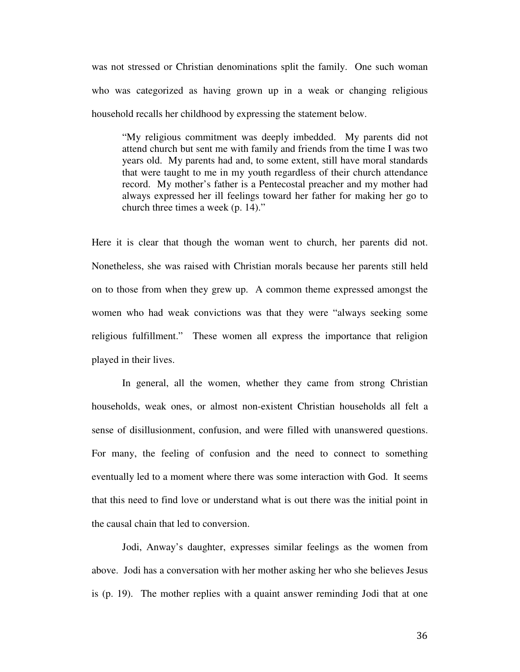was not stressed or Christian denominations split the family. One such woman who was categorized as having grown up in a weak or changing religious household recalls her childhood by expressing the statement below.

"My religious commitment was deeply imbedded. My parents did not attend church but sent me with family and friends from the time I was two years old. My parents had and, to some extent, still have moral standards that were taught to me in my youth regardless of their church attendance record. My mother's father is a Pentecostal preacher and my mother had always expressed her ill feelings toward her father for making her go to church three times a week (p. 14)."

Here it is clear that though the woman went to church, her parents did not. Nonetheless, she was raised with Christian morals because her parents still held on to those from when they grew up. A common theme expressed amongst the women who had weak convictions was that they were "always seeking some religious fulfillment." These women all express the importance that religion played in their lives.

 In general, all the women, whether they came from strong Christian households, weak ones, or almost non-existent Christian households all felt a sense of disillusionment, confusion, and were filled with unanswered questions. For many, the feeling of confusion and the need to connect to something eventually led to a moment where there was some interaction with God. It seems that this need to find love or understand what is out there was the initial point in the causal chain that led to conversion.

 Jodi, Anway's daughter, expresses similar feelings as the women from above. Jodi has a conversation with her mother asking her who she believes Jesus is (p. 19). The mother replies with a quaint answer reminding Jodi that at one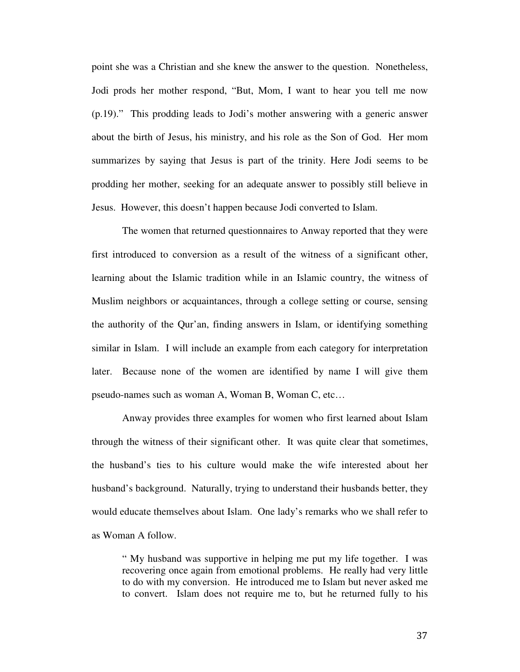point she was a Christian and she knew the answer to the question. Nonetheless, Jodi prods her mother respond, "But, Mom, I want to hear you tell me now (p.19)." This prodding leads to Jodi's mother answering with a generic answer about the birth of Jesus, his ministry, and his role as the Son of God. Her mom summarizes by saying that Jesus is part of the trinity. Here Jodi seems to be prodding her mother, seeking for an adequate answer to possibly still believe in Jesus. However, this doesn't happen because Jodi converted to Islam.

 The women that returned questionnaires to Anway reported that they were first introduced to conversion as a result of the witness of a significant other, learning about the Islamic tradition while in an Islamic country, the witness of Muslim neighbors or acquaintances, through a college setting or course, sensing the authority of the Qur'an, finding answers in Islam, or identifying something similar in Islam. I will include an example from each category for interpretation later. Because none of the women are identified by name I will give them pseudo-names such as woman A, Woman B, Woman C, etc…

 Anway provides three examples for women who first learned about Islam through the witness of their significant other. It was quite clear that sometimes, the husband's ties to his culture would make the wife interested about her husband's background. Naturally, trying to understand their husbands better, they would educate themselves about Islam. One lady's remarks who we shall refer to as Woman A follow.

" My husband was supportive in helping me put my life together. I was recovering once again from emotional problems. He really had very little to do with my conversion. He introduced me to Islam but never asked me to convert. Islam does not require me to, but he returned fully to his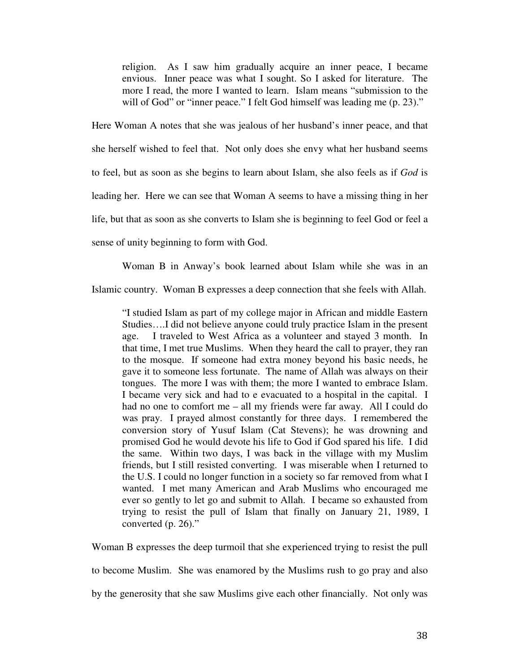religion. As I saw him gradually acquire an inner peace, I became envious. Inner peace was what I sought. So I asked for literature. The more I read, the more I wanted to learn. Islam means "submission to the will of God" or "inner peace." I felt God himself was leading me  $(p. 23)$ ."

Here Woman A notes that she was jealous of her husband's inner peace, and that she herself wished to feel that. Not only does she envy what her husband seems to feel, but as soon as she begins to learn about Islam, she also feels as if *God* is leading her. Here we can see that Woman A seems to have a missing thing in her life, but that as soon as she converts to Islam she is beginning to feel God or feel a sense of unity beginning to form with God.

Woman B in Anway's book learned about Islam while she was in an

Islamic country. Woman B expresses a deep connection that she feels with Allah.

"I studied Islam as part of my college major in African and middle Eastern Studies….I did not believe anyone could truly practice Islam in the present age. I traveled to West Africa as a volunteer and stayed 3 month. In that time, I met true Muslims. When they heard the call to prayer, they ran to the mosque. If someone had extra money beyond his basic needs, he gave it to someone less fortunate. The name of Allah was always on their tongues. The more I was with them; the more I wanted to embrace Islam. I became very sick and had to e evacuated to a hospital in the capital. I had no one to comfort me – all my friends were far away. All I could do was pray. I prayed almost constantly for three days. I remembered the conversion story of Yusuf Islam (Cat Stevens); he was drowning and promised God he would devote his life to God if God spared his life. I did the same. Within two days, I was back in the village with my Muslim friends, but I still resisted converting. I was miserable when I returned to the U.S. I could no longer function in a society so far removed from what I wanted. I met many American and Arab Muslims who encouraged me ever so gently to let go and submit to Allah. I became so exhausted from trying to resist the pull of Islam that finally on January 21, 1989, I converted (p. 26)."

Woman B expresses the deep turmoil that she experienced trying to resist the pull

to become Muslim. She was enamored by the Muslims rush to go pray and also

by the generosity that she saw Muslims give each other financially. Not only was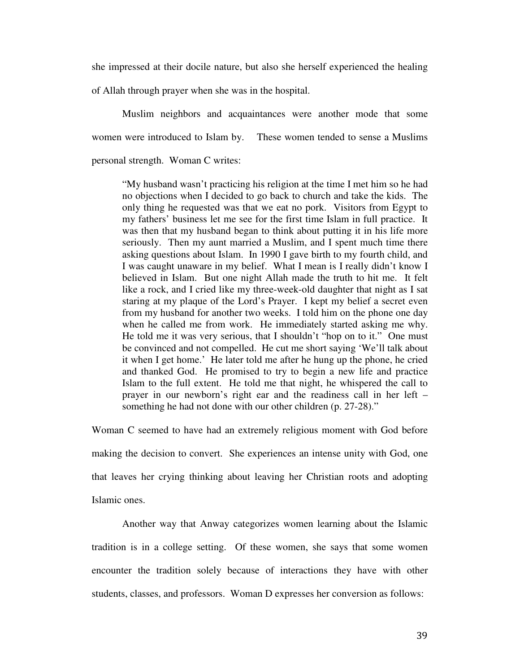she impressed at their docile nature, but also she herself experienced the healing

of Allah through prayer when she was in the hospital.

 Muslim neighbors and acquaintances were another mode that some women were introduced to Islam by. These women tended to sense a Muslims personal strength. Woman C writes:

"My husband wasn't practicing his religion at the time I met him so he had no objections when I decided to go back to church and take the kids. The only thing he requested was that we eat no pork. Visitors from Egypt to my fathers' business let me see for the first time Islam in full practice. It was then that my husband began to think about putting it in his life more seriously. Then my aunt married a Muslim, and I spent much time there asking questions about Islam. In 1990 I gave birth to my fourth child, and I was caught unaware in my belief. What I mean is I really didn't know I believed in Islam. But one night Allah made the truth to hit me. It felt like a rock, and I cried like my three-week-old daughter that night as I sat staring at my plaque of the Lord's Prayer. I kept my belief a secret even from my husband for another two weeks. I told him on the phone one day when he called me from work. He immediately started asking me why. He told me it was very serious, that I shouldn't "hop on to it." One must be convinced and not compelled. He cut me short saying 'We'll talk about it when I get home.' He later told me after he hung up the phone, he cried and thanked God. He promised to try to begin a new life and practice Islam to the full extent. He told me that night, he whispered the call to prayer in our newborn's right ear and the readiness call in her left – something he had not done with our other children (p. 27-28)."

Woman C seemed to have had an extremely religious moment with God before making the decision to convert. She experiences an intense unity with God, one that leaves her crying thinking about leaving her Christian roots and adopting Islamic ones.

 Another way that Anway categorizes women learning about the Islamic tradition is in a college setting. Of these women, she says that some women encounter the tradition solely because of interactions they have with other students, classes, and professors. Woman D expresses her conversion as follows: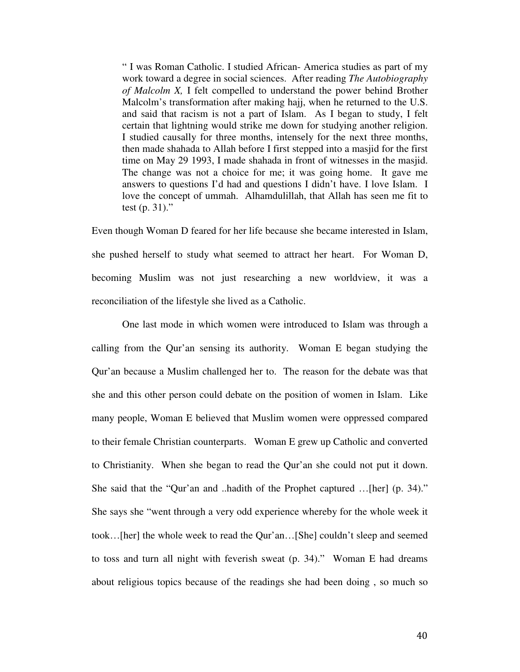" I was Roman Catholic. I studied African- America studies as part of my work toward a degree in social sciences. After reading *The Autobiography of Malcolm X,* I felt compelled to understand the power behind Brother Malcolm's transformation after making hajj, when he returned to the U.S. and said that racism is not a part of Islam. As I began to study, I felt certain that lightning would strike me down for studying another religion. I studied causally for three months, intensely for the next three months, then made shahada to Allah before I first stepped into a masjid for the first time on May 29 1993, I made shahada in front of witnesses in the masjid. The change was not a choice for me; it was going home. It gave me answers to questions I'd had and questions I didn't have. I love Islam. I love the concept of ummah. Alhamdulillah, that Allah has seen me fit to test (p. 31)."

Even though Woman D feared for her life because she became interested in Islam, she pushed herself to study what seemed to attract her heart. For Woman D, becoming Muslim was not just researching a new worldview, it was a reconciliation of the lifestyle she lived as a Catholic.

One last mode in which women were introduced to Islam was through a calling from the Qur'an sensing its authority. Woman E began studying the Qur'an because a Muslim challenged her to. The reason for the debate was that she and this other person could debate on the position of women in Islam. Like many people, Woman E believed that Muslim women were oppressed compared to their female Christian counterparts. Woman E grew up Catholic and converted to Christianity. When she began to read the Qur'an she could not put it down. She said that the "Qur'an and ..hadith of the Prophet captured …[her] (p. 34)." She says she "went through a very odd experience whereby for the whole week it took…[her] the whole week to read the Qur'an…[She] couldn't sleep and seemed to toss and turn all night with feverish sweat (p. 34)." Woman E had dreams about religious topics because of the readings she had been doing , so much so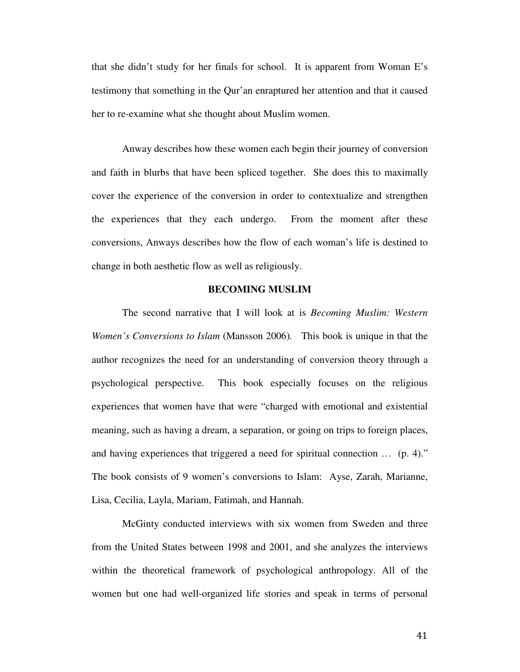that she didn't study for her finals for school. It is apparent from Woman E's testimony that something in the Qur'an enraptured her attention and that it caused her to re-examine what she thought about Muslim women.

Anway describes how these women each begin their journey of conversion and faith in blurbs that have been spliced together. She does this to maximally cover the experience of the conversion in order to contextualize and strengthen the experiences that they each undergo. From the moment after these conversions, Anways describes how the flow of each woman's life is destined to change in both aesthetic flow as well as religiously.

### **BECOMING MUSLIM**

The second narrative that I will look at is *Becoming Muslim: Western Women's Conversions to Islam* (Mansson 2006). This book is unique in that the author recognizes the need for an understanding of conversion theory through a psychological perspective. This book especially focuses on the religious experiences that women have that were "charged with emotional and existential meaning, such as having a dream, a separation, or going on trips to foreign places, and having experiences that triggered a need for spiritual connection … (p. 4)." The book consists of 9 women's conversions to Islam: Ayse, Zarah, Marianne, Lisa, Cecilia, Layla, Mariam, Fatimah, and Hannah.

 McGinty conducted interviews with six women from Sweden and three from the United States between 1998 and 2001, and she analyzes the interviews within the theoretical framework of psychological anthropology. All of the women but one had well-organized life stories and speak in terms of personal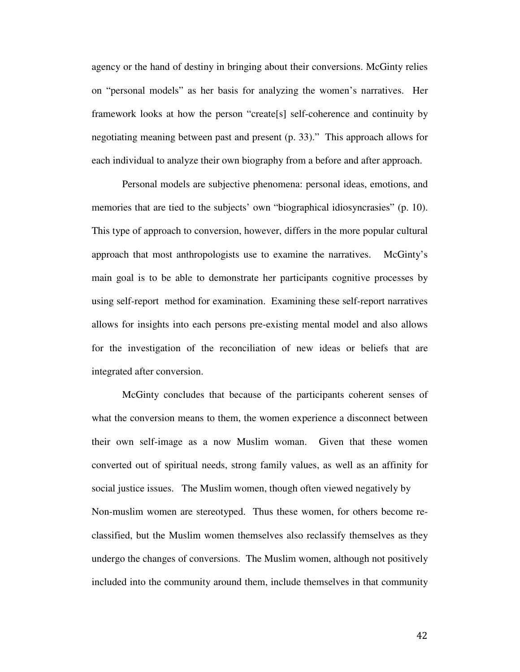agency or the hand of destiny in bringing about their conversions. McGinty relies on "personal models" as her basis for analyzing the women's narratives. Her framework looks at how the person "create[s] self-coherence and continuity by negotiating meaning between past and present (p. 33)." This approach allows for each individual to analyze their own biography from a before and after approach.

 Personal models are subjective phenomena: personal ideas, emotions, and memories that are tied to the subjects' own "biographical idiosyncrasies" (p. 10). This type of approach to conversion, however, differs in the more popular cultural approach that most anthropologists use to examine the narratives. McGinty's main goal is to be able to demonstrate her participants cognitive processes by using self-report method for examination. Examining these self-report narratives allows for insights into each persons pre-existing mental model and also allows for the investigation of the reconciliation of new ideas or beliefs that are integrated after conversion.

 McGinty concludes that because of the participants coherent senses of what the conversion means to them, the women experience a disconnect between their own self-image as a now Muslim woman. Given that these women converted out of spiritual needs, strong family values, as well as an affinity for social justice issues. The Muslim women, though often viewed negatively by Non-muslim women are stereotyped. Thus these women, for others become reclassified, but the Muslim women themselves also reclassify themselves as they undergo the changes of conversions. The Muslim women, although not positively included into the community around them, include themselves in that community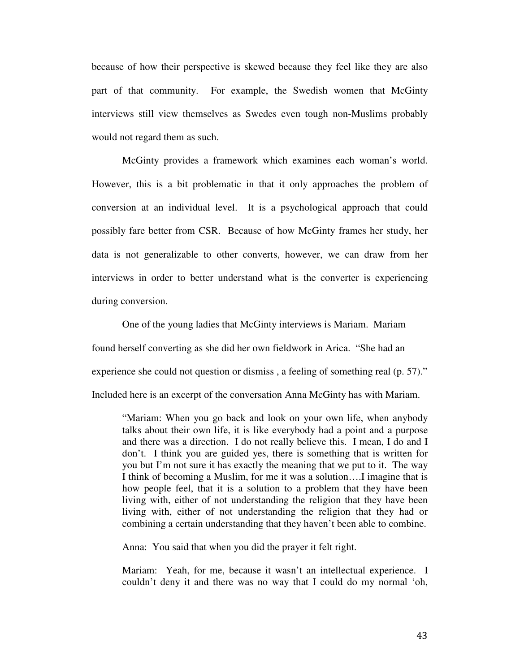because of how their perspective is skewed because they feel like they are also part of that community. For example, the Swedish women that McGinty interviews still view themselves as Swedes even tough non-Muslims probably would not regard them as such.

 McGinty provides a framework which examines each woman's world. However, this is a bit problematic in that it only approaches the problem of conversion at an individual level. It is a psychological approach that could possibly fare better from CSR. Because of how McGinty frames her study, her data is not generalizable to other converts, however, we can draw from her interviews in order to better understand what is the converter is experiencing during conversion.

 One of the young ladies that McGinty interviews is Mariam. Mariam found herself converting as she did her own fieldwork in Arica. "She had an experience she could not question or dismiss , a feeling of something real (p. 57)." Included here is an excerpt of the conversation Anna McGinty has with Mariam.

"Mariam: When you go back and look on your own life, when anybody talks about their own life, it is like everybody had a point and a purpose and there was a direction. I do not really believe this. I mean, I do and I don't. I think you are guided yes, there is something that is written for you but I'm not sure it has exactly the meaning that we put to it. The way I think of becoming a Muslim, for me it was a solution….I imagine that is how people feel, that it is a solution to a problem that they have been living with, either of not understanding the religion that they have been living with, either of not understanding the religion that they had or combining a certain understanding that they haven't been able to combine.

Anna: You said that when you did the prayer it felt right.

Mariam: Yeah, for me, because it wasn't an intellectual experience. I couldn't deny it and there was no way that I could do my normal 'oh,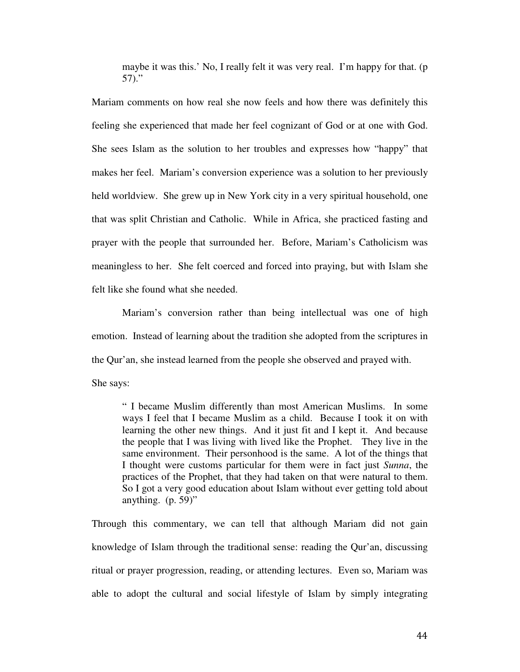maybe it was this.' No, I really felt it was very real. I'm happy for that. (p 57)."

Mariam comments on how real she now feels and how there was definitely this feeling she experienced that made her feel cognizant of God or at one with God. She sees Islam as the solution to her troubles and expresses how "happy" that makes her feel. Mariam's conversion experience was a solution to her previously held worldview. She grew up in New York city in a very spiritual household, one that was split Christian and Catholic. While in Africa, she practiced fasting and prayer with the people that surrounded her. Before, Mariam's Catholicism was meaningless to her. She felt coerced and forced into praying, but with Islam she felt like she found what she needed.

 Mariam's conversion rather than being intellectual was one of high emotion. Instead of learning about the tradition she adopted from the scriptures in the Qur'an, she instead learned from the people she observed and prayed with.

She says:

" I became Muslim differently than most American Muslims. In some ways I feel that I became Muslim as a child. Because I took it on with learning the other new things. And it just fit and I kept it. And because the people that I was living with lived like the Prophet. They live in the same environment. Their personhood is the same. A lot of the things that I thought were customs particular for them were in fact just *Sunna*, the practices of the Prophet, that they had taken on that were natural to them. So I got a very good education about Islam without ever getting told about anything.  $(p. 59)$ "

Through this commentary, we can tell that although Mariam did not gain knowledge of Islam through the traditional sense: reading the Qur'an, discussing ritual or prayer progression, reading, or attending lectures. Even so, Mariam was able to adopt the cultural and social lifestyle of Islam by simply integrating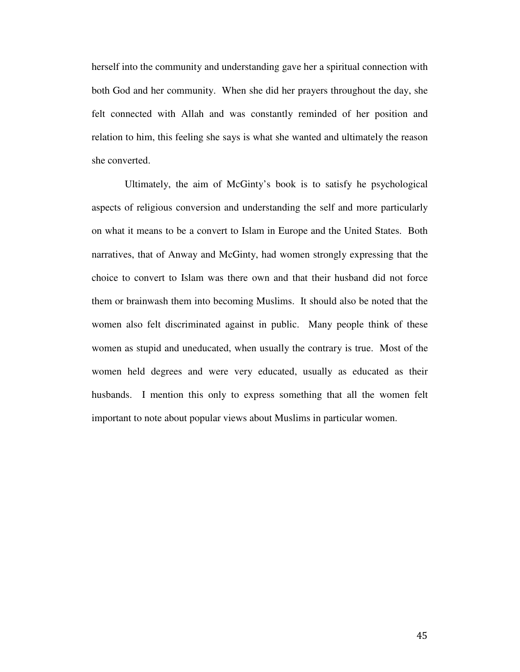herself into the community and understanding gave her a spiritual connection with both God and her community. When she did her prayers throughout the day, she felt connected with Allah and was constantly reminded of her position and relation to him, this feeling she says is what she wanted and ultimately the reason she converted.

 Ultimately, the aim of McGinty's book is to satisfy he psychological aspects of religious conversion and understanding the self and more particularly on what it means to be a convert to Islam in Europe and the United States. Both narratives, that of Anway and McGinty, had women strongly expressing that the choice to convert to Islam was there own and that their husband did not force them or brainwash them into becoming Muslims. It should also be noted that the women also felt discriminated against in public. Many people think of these women as stupid and uneducated, when usually the contrary is true. Most of the women held degrees and were very educated, usually as educated as their husbands. I mention this only to express something that all the women felt important to note about popular views about Muslims in particular women.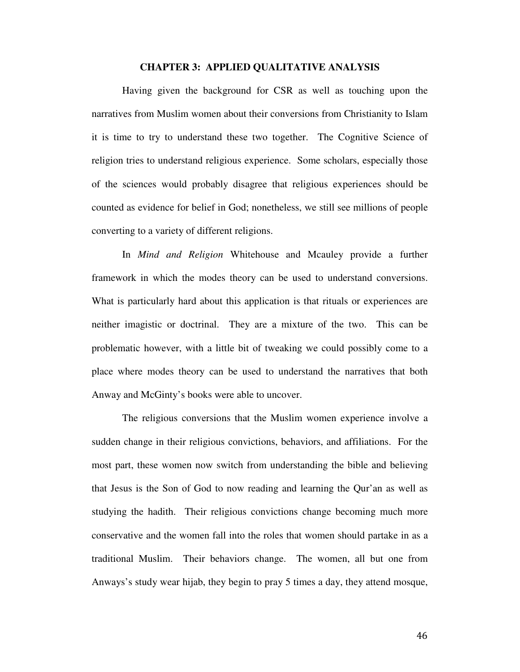#### **CHAPTER 3: APPLIED QUALITATIVE ANALYSIS**

Having given the background for CSR as well as touching upon the narratives from Muslim women about their conversions from Christianity to Islam it is time to try to understand these two together. The Cognitive Science of religion tries to understand religious experience. Some scholars, especially those of the sciences would probably disagree that religious experiences should be counted as evidence for belief in God; nonetheless, we still see millions of people converting to a variety of different religions.

 In *Mind and Religion* Whitehouse and Mcauley provide a further framework in which the modes theory can be used to understand conversions. What is particularly hard about this application is that rituals or experiences are neither imagistic or doctrinal. They are a mixture of the two. This can be problematic however, with a little bit of tweaking we could possibly come to a place where modes theory can be used to understand the narratives that both Anway and McGinty's books were able to uncover.

 The religious conversions that the Muslim women experience involve a sudden change in their religious convictions, behaviors, and affiliations. For the most part, these women now switch from understanding the bible and believing that Jesus is the Son of God to now reading and learning the Qur'an as well as studying the hadith. Their religious convictions change becoming much more conservative and the women fall into the roles that women should partake in as a traditional Muslim. Their behaviors change. The women, all but one from Anways's study wear hijab, they begin to pray 5 times a day, they attend mosque,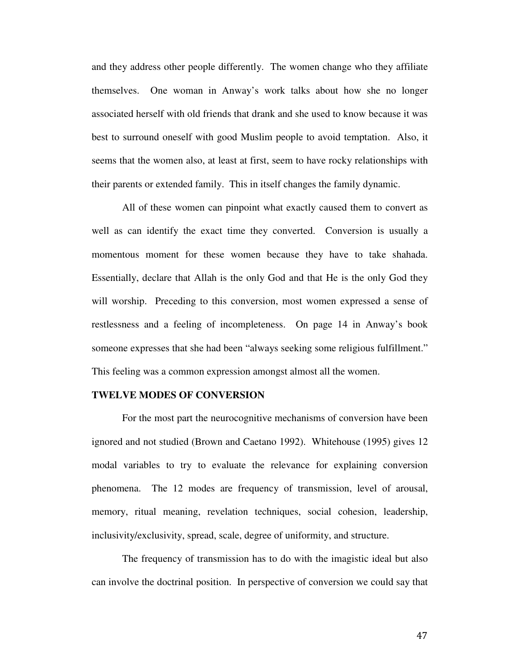and they address other people differently. The women change who they affiliate themselves. One woman in Anway's work talks about how she no longer associated herself with old friends that drank and she used to know because it was best to surround oneself with good Muslim people to avoid temptation. Also, it seems that the women also, at least at first, seem to have rocky relationships with their parents or extended family. This in itself changes the family dynamic.

 All of these women can pinpoint what exactly caused them to convert as well as can identify the exact time they converted. Conversion is usually a momentous moment for these women because they have to take shahada. Essentially, declare that Allah is the only God and that He is the only God they will worship. Preceding to this conversion, most women expressed a sense of restlessness and a feeling of incompleteness. On page 14 in Anway's book someone expresses that she had been "always seeking some religious fulfillment." This feeling was a common expression amongst almost all the women.

### **TWELVE MODES OF CONVERSION**

 For the most part the neurocognitive mechanisms of conversion have been ignored and not studied (Brown and Caetano 1992). Whitehouse (1995) gives 12 modal variables to try to evaluate the relevance for explaining conversion phenomena. The 12 modes are frequency of transmission, level of arousal, memory, ritual meaning, revelation techniques, social cohesion, leadership, inclusivity/exclusivity, spread, scale, degree of uniformity, and structure.

 The frequency of transmission has to do with the imagistic ideal but also can involve the doctrinal position. In perspective of conversion we could say that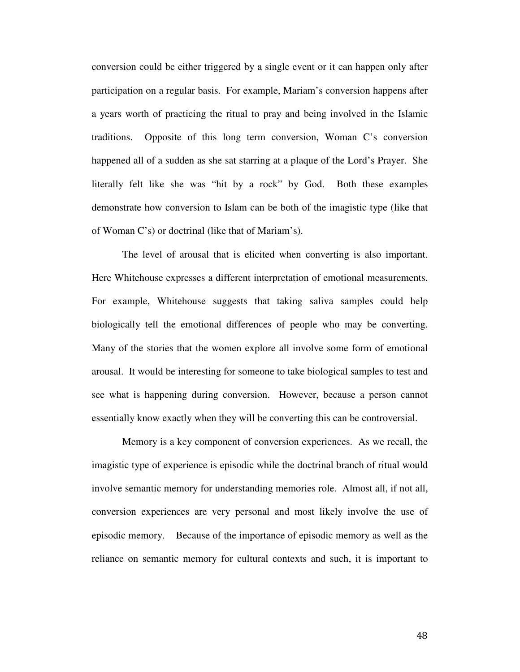conversion could be either triggered by a single event or it can happen only after participation on a regular basis. For example, Mariam's conversion happens after a years worth of practicing the ritual to pray and being involved in the Islamic traditions. Opposite of this long term conversion, Woman C's conversion happened all of a sudden as she sat starring at a plaque of the Lord's Prayer. She literally felt like she was "hit by a rock" by God. Both these examples demonstrate how conversion to Islam can be both of the imagistic type (like that of Woman C's) or doctrinal (like that of Mariam's).

 The level of arousal that is elicited when converting is also important. Here Whitehouse expresses a different interpretation of emotional measurements. For example, Whitehouse suggests that taking saliva samples could help biologically tell the emotional differences of people who may be converting. Many of the stories that the women explore all involve some form of emotional arousal. It would be interesting for someone to take biological samples to test and see what is happening during conversion. However, because a person cannot essentially know exactly when they will be converting this can be controversial.

 Memory is a key component of conversion experiences. As we recall, the imagistic type of experience is episodic while the doctrinal branch of ritual would involve semantic memory for understanding memories role. Almost all, if not all, conversion experiences are very personal and most likely involve the use of episodic memory. Because of the importance of episodic memory as well as the reliance on semantic memory for cultural contexts and such, it is important to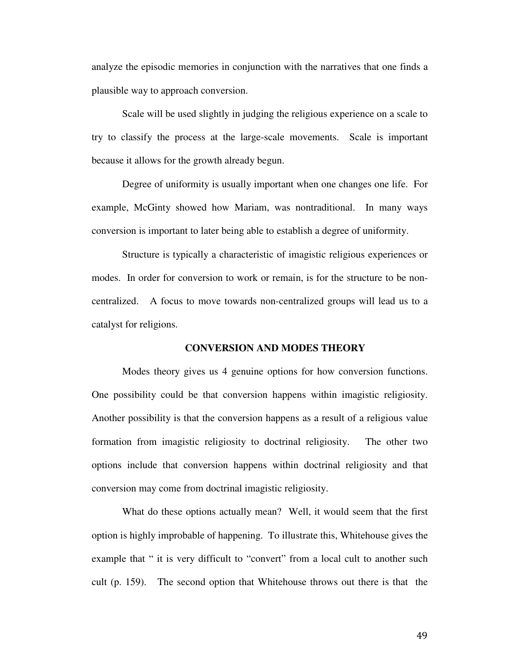analyze the episodic memories in conjunction with the narratives that one finds a plausible way to approach conversion.

Scale will be used slightly in judging the religious experience on a scale to try to classify the process at the large-scale movements. Scale is important because it allows for the growth already begun.

Degree of uniformity is usually important when one changes one life. For example, McGinty showed how Mariam, was nontraditional. In many ways conversion is important to later being able to establish a degree of uniformity.

Structure is typically a characteristic of imagistic religious experiences or modes. In order for conversion to work or remain, is for the structure to be noncentralized. A focus to move towards non-centralized groups will lead us to a catalyst for religions.

### **CONVERSION AND MODES THEORY**

 Modes theory gives us 4 genuine options for how conversion functions. One possibility could be that conversion happens within imagistic religiosity. Another possibility is that the conversion happens as a result of a religious value formation from imagistic religiosity to doctrinal religiosity. The other two options include that conversion happens within doctrinal religiosity and that conversion may come from doctrinal imagistic religiosity.

 What do these options actually mean? Well, it would seem that the first option is highly improbable of happening. To illustrate this, Whitehouse gives the example that " it is very difficult to "convert" from a local cult to another such cult (p. 159). The second option that Whitehouse throws out there is that the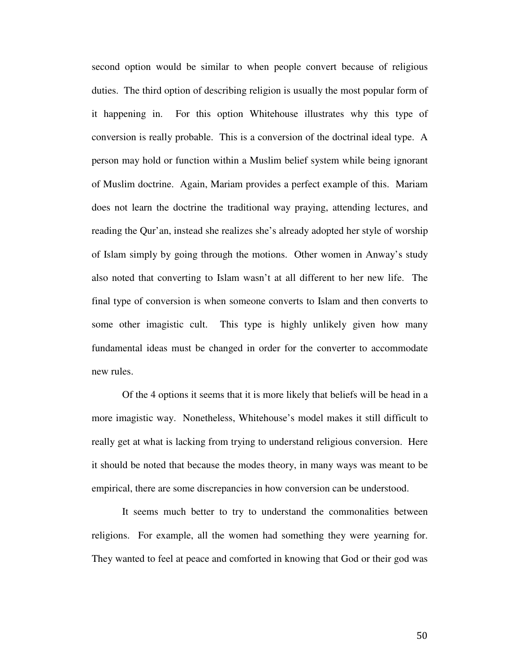second option would be similar to when people convert because of religious duties. The third option of describing religion is usually the most popular form of it happening in. For this option Whitehouse illustrates why this type of conversion is really probable. This is a conversion of the doctrinal ideal type. A person may hold or function within a Muslim belief system while being ignorant of Muslim doctrine. Again, Mariam provides a perfect example of this. Mariam does not learn the doctrine the traditional way praying, attending lectures, and reading the Qur'an, instead she realizes she's already adopted her style of worship of Islam simply by going through the motions. Other women in Anway's study also noted that converting to Islam wasn't at all different to her new life. The final type of conversion is when someone converts to Islam and then converts to some other imagistic cult. This type is highly unlikely given how many fundamental ideas must be changed in order for the converter to accommodate new rules.

 Of the 4 options it seems that it is more likely that beliefs will be head in a more imagistic way. Nonetheless, Whitehouse's model makes it still difficult to really get at what is lacking from trying to understand religious conversion. Here it should be noted that because the modes theory, in many ways was meant to be empirical, there are some discrepancies in how conversion can be understood.

 It seems much better to try to understand the commonalities between religions. For example, all the women had something they were yearning for. They wanted to feel at peace and comforted in knowing that God or their god was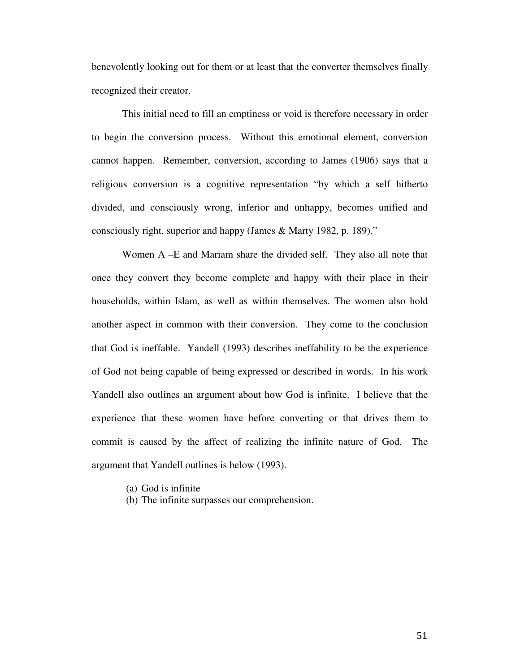benevolently looking out for them or at least that the converter themselves finally recognized their creator.

 This initial need to fill an emptiness or void is therefore necessary in order to begin the conversion process. Without this emotional element, conversion cannot happen. Remember, conversion, according to James (1906) says that a religious conversion is a cognitive representation "by which a self hitherto divided, and consciously wrong, inferior and unhappy, becomes unified and consciously right, superior and happy (James & Marty 1982, p. 189)."

 Women A –E and Mariam share the divided self. They also all note that once they convert they become complete and happy with their place in their households, within Islam, as well as within themselves. The women also hold another aspect in common with their conversion. They come to the conclusion that God is ineffable. Yandell (1993) describes ineffability to be the experience of God not being capable of being expressed or described in words. In his work Yandell also outlines an argument about how God is infinite. I believe that the experience that these women have before converting or that drives them to commit is caused by the affect of realizing the infinite nature of God. The argument that Yandell outlines is below (1993).

- (a) God is infinite
- (b) The infinite surpasses our comprehension.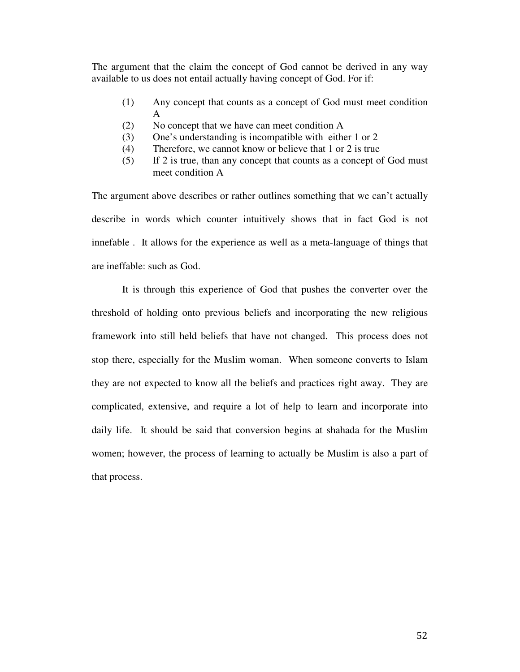The argument that the claim the concept of God cannot be derived in any way available to us does not entail actually having concept of God. For if:

- (1) Any concept that counts as a concept of God must meet condition A
- (2) No concept that we have can meet condition A
- (3) One's understanding is incompatible with either 1 or 2
- (4) Therefore, we cannot know or believe that 1 or 2 is true
- (5) If 2 is true, than any concept that counts as a concept of God must meet condition A

The argument above describes or rather outlines something that we can't actually describe in words which counter intuitively shows that in fact God is not innefable . It allows for the experience as well as a meta-language of things that are ineffable: such as God.

It is through this experience of God that pushes the converter over the threshold of holding onto previous beliefs and incorporating the new religious framework into still held beliefs that have not changed. This process does not stop there, especially for the Muslim woman. When someone converts to Islam they are not expected to know all the beliefs and practices right away. They are complicated, extensive, and require a lot of help to learn and incorporate into daily life. It should be said that conversion begins at shahada for the Muslim women; however, the process of learning to actually be Muslim is also a part of that process.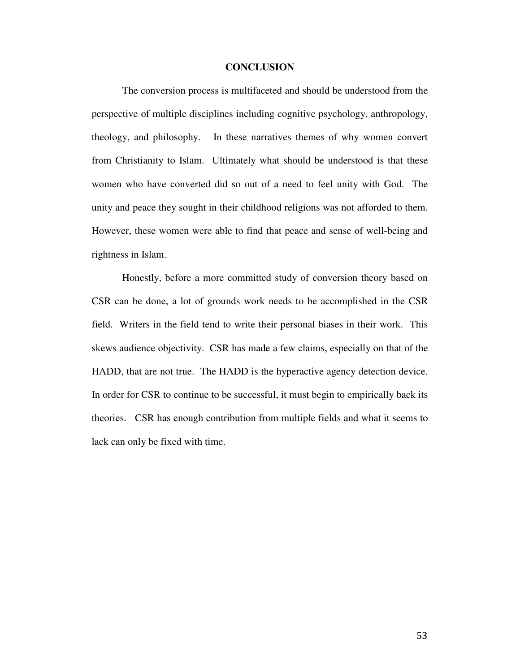#### **CONCLUSION**

The conversion process is multifaceted and should be understood from the perspective of multiple disciplines including cognitive psychology, anthropology, theology, and philosophy. In these narratives themes of why women convert from Christianity to Islam. Ultimately what should be understood is that these women who have converted did so out of a need to feel unity with God. The unity and peace they sought in their childhood religions was not afforded to them. However, these women were able to find that peace and sense of well-being and rightness in Islam.

 Honestly, before a more committed study of conversion theory based on CSR can be done, a lot of grounds work needs to be accomplished in the CSR field. Writers in the field tend to write their personal biases in their work. This skews audience objectivity. CSR has made a few claims, especially on that of the HADD, that are not true. The HADD is the hyperactive agency detection device. In order for CSR to continue to be successful, it must begin to empirically back its theories. CSR has enough contribution from multiple fields and what it seems to lack can only be fixed with time.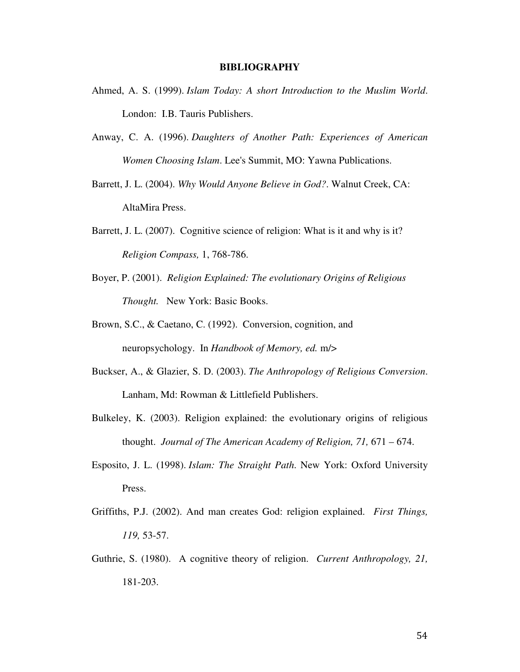#### **BIBLIOGRAPHY**

- Ahmed, A. S. (1999). *Islam Today: A short Introduction to the Muslim World*. London: I.B. Tauris Publishers.
- Anway, C. A. (1996). *Daughters of Another Path: Experiences of American Women Choosing Islam*. Lee's Summit, MO: Yawna Publications.
- Barrett, J. L. (2004). *Why Would Anyone Believe in God?*. Walnut Creek, CA: AltaMira Press.
- Barrett, J. L. (2007). Cognitive science of religion: What is it and why is it? *Religion Compass,* 1, 768-786.
- Boyer, P. (2001). *Religion Explained: The evolutionary Origins of Religious Thought.* New York: Basic Books.
- Brown, S.C., & Caetano, C. (1992). Conversion, cognition, and neuropsychology. In *Handbook of Memory, ed.* m/>
- Buckser, A., & Glazier, S. D. (2003). *The Anthropology of Religious Conversion*. Lanham, Md: Rowman & Littlefield Publishers.
- Bulkeley, K. (2003). Religion explained: the evolutionary origins of religious thought. *Journal of The American Academy of Religion, 71,* 671 – 674.
- Esposito, J. L. (1998). *Islam: The Straight Path*. New York: Oxford University Press.
- Griffiths, P.J. (2002). And man creates God: religion explained. *First Things, 119,* 53-57.
- Guthrie, S. (1980). A cognitive theory of religion. *Current Anthropology, 21,*  181-203.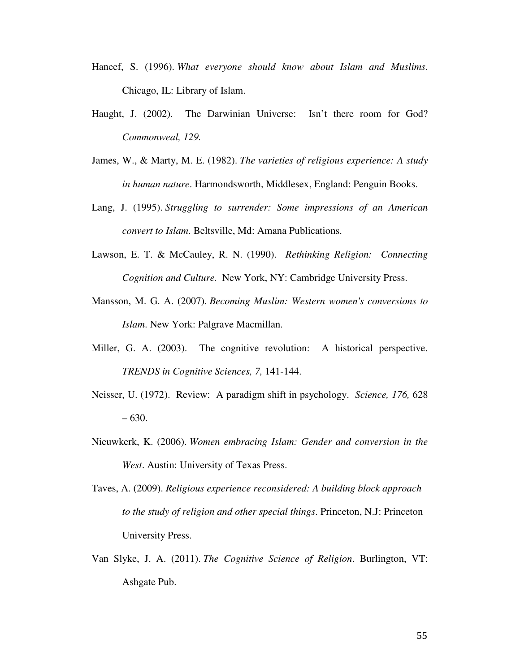- Haneef, S. (1996). *What everyone should know about Islam and Muslims*. Chicago, IL: Library of Islam.
- Haught, J. (2002). The Darwinian Universe: Isn't there room for God? *Commonweal, 129.*
- James, W., & Marty, M. E. (1982). *The varieties of religious experience: A study in human nature*. Harmondsworth, Middlesex, England: Penguin Books.
- Lang, J. (1995). *Struggling to surrender: Some impressions of an American convert to Islam*. Beltsville, Md: Amana Publications.
- Lawson, E. T. & McCauley, R. N. (1990). *Rethinking Religion: Connecting Cognition and Culture.* New York, NY: Cambridge University Press.
- Mansson, M. G. A. (2007). *Becoming Muslim: Western women's conversions to Islam*. New York: Palgrave Macmillan.
- Miller, G. A. (2003). The cognitive revolution: A historical perspective. *TRENDS in Cognitive Sciences, 7,* 141-144.
- Neisser, U. (1972). Review: A paradigm shift in psychology. *Science, 176,* 628 – 630.
- Nieuwkerk, K. (2006). *Women embracing Islam: Gender and conversion in the West*. Austin: University of Texas Press.
- Taves, A. (2009). *Religious experience reconsidered: A building block approach to the study of religion and other special things*. Princeton, N.J: Princeton University Press.
- Van Slyke, J. A. (2011). *The Cognitive Science of Religion*. Burlington, VT: Ashgate Pub.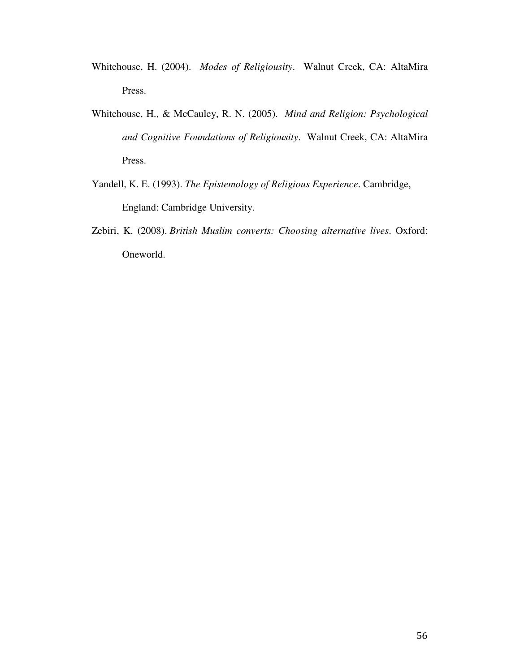- Whitehouse, H. (2004). *Modes of Religiousity*. Walnut Creek, CA: AltaMira Press.
- Whitehouse, H., & McCauley, R. N. (2005). *Mind and Religion: Psychological and Cognitive Foundations of Religiousity*. Walnut Creek, CA: AltaMira Press.
- Yandell, K. E. (1993). *The Epistemology of Religious Experience*. Cambridge, England: Cambridge University.
- Zebiri, K. (2008). *British Muslim converts: Choosing alternative lives*. Oxford: Oneworld.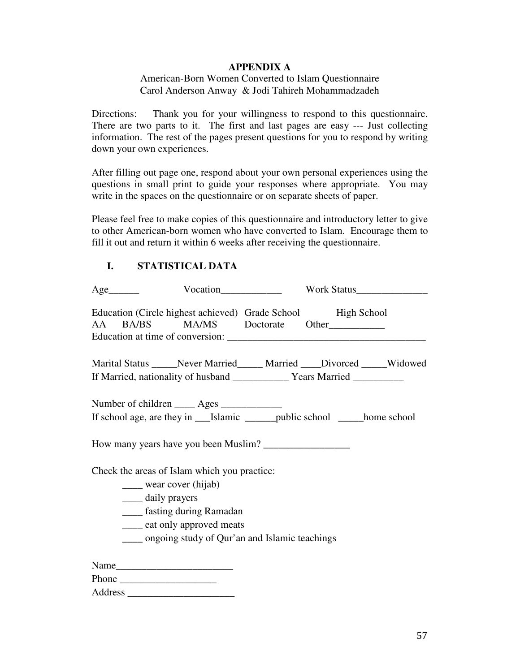### **APPENDIX A**

### American-Born Women Converted to Islam Questionnaire Carol Anderson Anway & Jodi Tahireh Mohammadzadeh

Directions: Thank you for your willingness to respond to this questionnaire. There are two parts to it. The first and last pages are easy --- Just collecting information. The rest of the pages present questions for you to respond by writing down your own experiences.

After filling out page one, respond about your own personal experiences using the questions in small print to guide your responses where appropriate. You may write in the spaces on the questionnaire or on separate sheets of paper.

Please feel free to make copies of this questionnaire and introductory letter to give to other American-born women who have converted to Islam. Encourage them to fill it out and return it within 6 weeks after receiving the questionnaire.

## **I. STATISTICAL DATA**

| $Age$ <sub>__________</sub>                                                                                                                                                                                     | Vocation Internation Vocation Vocation Vocation Vocation Vocation Vocation Vocation Vocation Vocation Vocation Vocation Vocation Vocation Vocation Vocation Vocation Vocation Vocation Vocation Vocation Vocation Vocation Voc                                                                                                                                                                                |  |
|-----------------------------------------------------------------------------------------------------------------------------------------------------------------------------------------------------------------|---------------------------------------------------------------------------------------------------------------------------------------------------------------------------------------------------------------------------------------------------------------------------------------------------------------------------------------------------------------------------------------------------------------|--|
|                                                                                                                                                                                                                 | Education (Circle highest achieved) Grade School High School<br>AA BA/BS MA/MS Doctorate Other                                                                                                                                                                                                                                                                                                                |  |
|                                                                                                                                                                                                                 | Marital Status ______ Never Married _____ Married _____ Divorced ______ Widowed                                                                                                                                                                                                                                                                                                                               |  |
| Number of children _____ Ages ___________                                                                                                                                                                       |                                                                                                                                                                                                                                                                                                                                                                                                               |  |
|                                                                                                                                                                                                                 |                                                                                                                                                                                                                                                                                                                                                                                                               |  |
| Check the areas of Islam which you practice:<br>____ wear cover (hijab)<br>_____ daily prayers<br>_____ fasting during Ramadan<br>eat only approved meats<br>____ ongoing study of Qur'an and Islamic teachings |                                                                                                                                                                                                                                                                                                                                                                                                               |  |
|                                                                                                                                                                                                                 | Phone $\frac{1}{\sqrt{1-\frac{1}{2}}\sqrt{1-\frac{1}{2}}\sqrt{1-\frac{1}{2}}\sqrt{1-\frac{1}{2}}\sqrt{1-\frac{1}{2}}\sqrt{1-\frac{1}{2}}\sqrt{1-\frac{1}{2}}\sqrt{1-\frac{1}{2}}\sqrt{1-\frac{1}{2}}\sqrt{1-\frac{1}{2}}\sqrt{1-\frac{1}{2}}\sqrt{1-\frac{1}{2}}\sqrt{1-\frac{1}{2}}\sqrt{1-\frac{1}{2}}\sqrt{1-\frac{1}{2}}\sqrt{1-\frac{1}{2}}\sqrt{1-\frac{1}{2}}\sqrt{1-\frac{1}{2}}\sqrt{1-\frac{1}{2}}$ |  |
|                                                                                                                                                                                                                 |                                                                                                                                                                                                                                                                                                                                                                                                               |  |

Address \_\_\_\_\_\_\_\_\_\_\_\_\_\_\_\_\_\_\_\_\_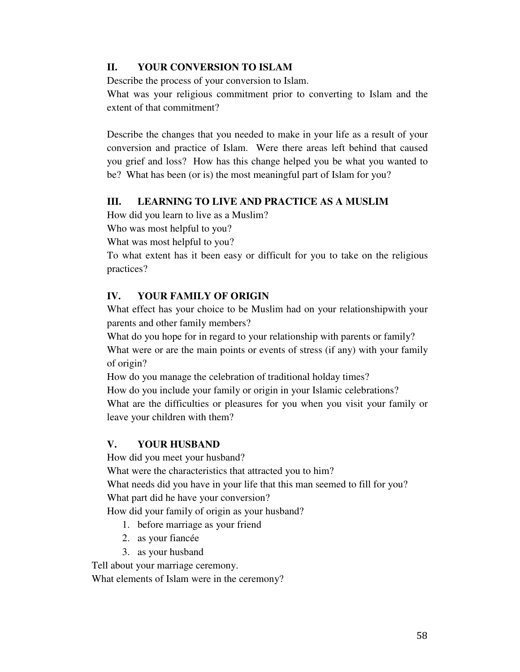## **II. YOUR CONVERSION TO ISLAM**

Describe the process of your conversion to Islam.

What was your religious commitment prior to converting to Islam and the extent of that commitment?

Describe the changes that you needed to make in your life as a result of your conversion and practice of Islam. Were there areas left behind that caused you grief and loss? How has this change helped you be what you wanted to be? What has been (or is) the most meaningful part of Islam for you?

## **III. LEARNING TO LIVE AND PRACTICE AS A MUSLIM**

How did you learn to live as a Muslim?

Who was most helpful to you?

What was most helpful to you?

To what extent has it been easy or difficult for you to take on the religious practices?

## **IV. YOUR FAMILY OF ORIGIN**

What effect has your choice to be Muslim had on your relationshipwith your parents and other family members?

What do you hope for in regard to your relationship with parents or family? What were or are the main points or events of stress (if any) with your family of origin?

How do you manage the celebration of traditional holday times?

How do you include your family or origin in your Islamic celebrations?

What are the difficulties or pleasures for you when you visit your family or leave your children with them?

## **V. YOUR HUSBAND**

How did you meet your husband?

What were the characteristics that attracted you to him?

What needs did you have in your life that this man seemed to fill for you?

What part did he have your conversion?

How did your family of origin as your husband?

- 1. before marriage as your friend
- 2. as your fiancée
- 3. as your husband

Tell about your marriage ceremony.

What elements of Islam were in the ceremony?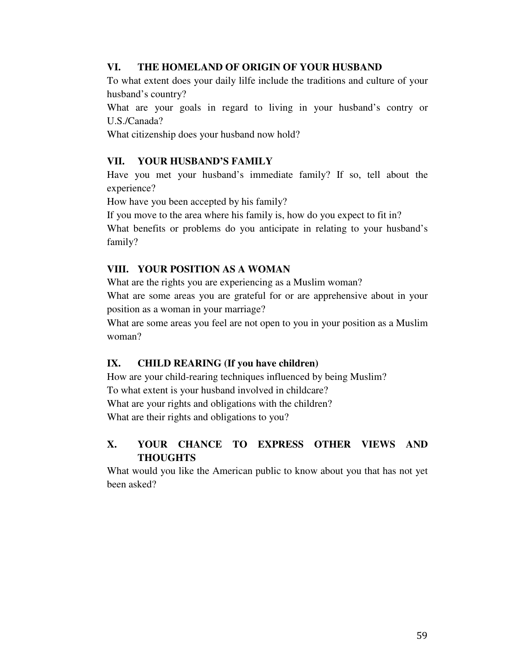### **VI. THE HOMELAND OF ORIGIN OF YOUR HUSBAND**

To what extent does your daily lilfe include the traditions and culture of your husband's country?

What are your goals in regard to living in your husband's contry or U.S./Canada?

What citizenship does your husband now hold?

## **VII. YOUR HUSBAND'S FAMILY**

Have you met your husband's immediate family? If so, tell about the experience?

How have you been accepted by his family?

If you move to the area where his family is, how do you expect to fit in?

What benefits or problems do you anticipate in relating to your husband's family?

## **VIII. YOUR POSITION AS A WOMAN**

What are the rights you are experiencing as a Muslim woman?

What are some areas you are grateful for or are apprehensive about in your position as a woman in your marriage?

What are some areas you feel are not open to you in your position as a Muslim woman?

# **IX. CHILD REARING (If you have children)**

How are your child-rearing techniques influenced by being Muslim? To what extent is your husband involved in childcare? What are your rights and obligations with the children?

What are their rights and obligations to you?

# **X. YOUR CHANCE TO EXPRESS OTHER VIEWS AND THOUGHTS**

What would you like the American public to know about you that has not yet been asked?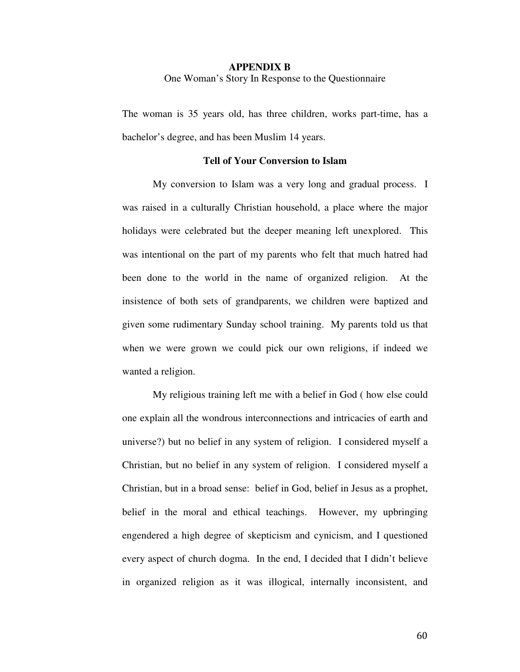### **APPENDIX B**  One Woman's Story In Response to the Questionnaire

The woman is 35 years old, has three children, works part-time, has a bachelor's degree, and has been Muslim 14 years.

### **Tell of Your Conversion to Islam**

 My conversion to Islam was a very long and gradual process. I was raised in a culturally Christian household, a place where the major holidays were celebrated but the deeper meaning left unexplored. This was intentional on the part of my parents who felt that much hatred had been done to the world in the name of organized religion. At the insistence of both sets of grandparents, we children were baptized and given some rudimentary Sunday school training. My parents told us that when we were grown we could pick our own religions, if indeed we wanted a religion.

 My religious training left me with a belief in God ( how else could one explain all the wondrous interconnections and intricacies of earth and universe?) but no belief in any system of religion. I considered myself a Christian, but no belief in any system of religion. I considered myself a Christian, but in a broad sense: belief in God, belief in Jesus as a prophet, belief in the moral and ethical teachings. However, my upbringing engendered a high degree of skepticism and cynicism, and I questioned every aspect of church dogma. In the end, I decided that I didn't believe in organized religion as it was illogical, internally inconsistent, and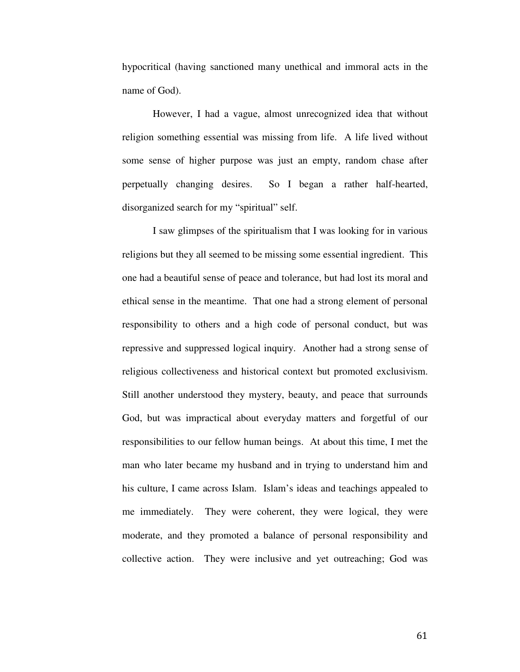hypocritical (having sanctioned many unethical and immoral acts in the name of God).

 However, I had a vague, almost unrecognized idea that without religion something essential was missing from life. A life lived without some sense of higher purpose was just an empty, random chase after perpetually changing desires. So I began a rather half-hearted, disorganized search for my "spiritual" self.

 I saw glimpses of the spiritualism that I was looking for in various religions but they all seemed to be missing some essential ingredient. This one had a beautiful sense of peace and tolerance, but had lost its moral and ethical sense in the meantime. That one had a strong element of personal responsibility to others and a high code of personal conduct, but was repressive and suppressed logical inquiry. Another had a strong sense of religious collectiveness and historical context but promoted exclusivism. Still another understood they mystery, beauty, and peace that surrounds God, but was impractical about everyday matters and forgetful of our responsibilities to our fellow human beings. At about this time, I met the man who later became my husband and in trying to understand him and his culture, I came across Islam. Islam's ideas and teachings appealed to me immediately. They were coherent, they were logical, they were moderate, and they promoted a balance of personal responsibility and collective action. They were inclusive and yet outreaching; God was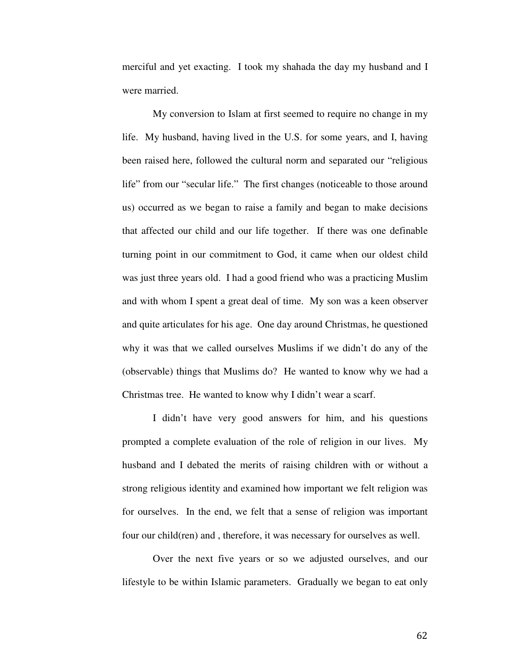merciful and yet exacting. I took my shahada the day my husband and I were married.

 My conversion to Islam at first seemed to require no change in my life. My husband, having lived in the U.S. for some years, and I, having been raised here, followed the cultural norm and separated our "religious life" from our "secular life." The first changes (noticeable to those around us) occurred as we began to raise a family and began to make decisions that affected our child and our life together. If there was one definable turning point in our commitment to God, it came when our oldest child was just three years old. I had a good friend who was a practicing Muslim and with whom I spent a great deal of time. My son was a keen observer and quite articulates for his age. One day around Christmas, he questioned why it was that we called ourselves Muslims if we didn't do any of the (observable) things that Muslims do? He wanted to know why we had a Christmas tree. He wanted to know why I didn't wear a scarf.

 I didn't have very good answers for him, and his questions prompted a complete evaluation of the role of religion in our lives. My husband and I debated the merits of raising children with or without a strong religious identity and examined how important we felt religion was for ourselves. In the end, we felt that a sense of religion was important four our child(ren) and , therefore, it was necessary for ourselves as well.

 Over the next five years or so we adjusted ourselves, and our lifestyle to be within Islamic parameters. Gradually we began to eat only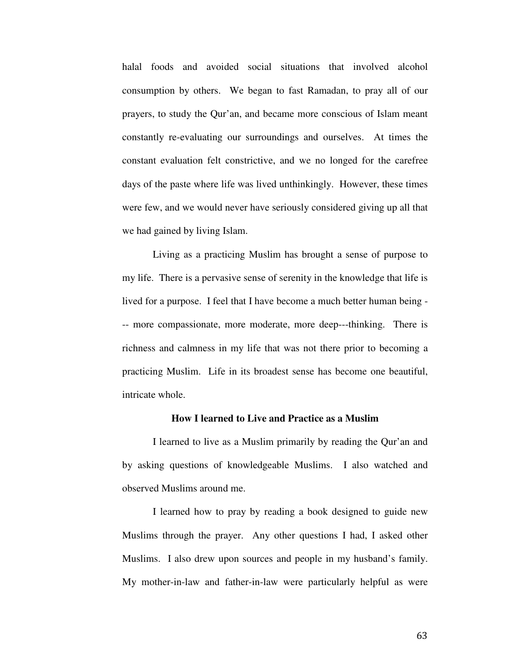halal foods and avoided social situations that involved alcohol consumption by others. We began to fast Ramadan, to pray all of our prayers, to study the Qur'an, and became more conscious of Islam meant constantly re-evaluating our surroundings and ourselves. At times the constant evaluation felt constrictive, and we no longed for the carefree days of the paste where life was lived unthinkingly. However, these times were few, and we would never have seriously considered giving up all that we had gained by living Islam.

 Living as a practicing Muslim has brought a sense of purpose to my life. There is a pervasive sense of serenity in the knowledge that life is lived for a purpose. I feel that I have become a much better human being - -- more compassionate, more moderate, more deep---thinking. There is richness and calmness in my life that was not there prior to becoming a practicing Muslim. Life in its broadest sense has become one beautiful, intricate whole.

### **How I learned to Live and Practice as a Muslim**

 I learned to live as a Muslim primarily by reading the Qur'an and by asking questions of knowledgeable Muslims. I also watched and observed Muslims around me.

 I learned how to pray by reading a book designed to guide new Muslims through the prayer. Any other questions I had, I asked other Muslims. I also drew upon sources and people in my husband's family. My mother-in-law and father-in-law were particularly helpful as were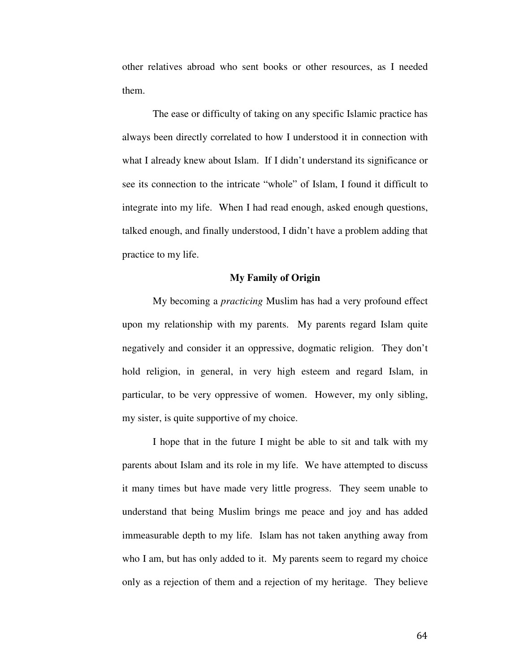other relatives abroad who sent books or other resources, as I needed them.

 The ease or difficulty of taking on any specific Islamic practice has always been directly correlated to how I understood it in connection with what I already knew about Islam. If I didn't understand its significance or see its connection to the intricate "whole" of Islam, I found it difficult to integrate into my life. When I had read enough, asked enough questions, talked enough, and finally understood, I didn't have a problem adding that practice to my life.

### **My Family of Origin**

 My becoming a *practicing* Muslim has had a very profound effect upon my relationship with my parents. My parents regard Islam quite negatively and consider it an oppressive, dogmatic religion. They don't hold religion, in general, in very high esteem and regard Islam, in particular, to be very oppressive of women. However, my only sibling, my sister, is quite supportive of my choice.

 I hope that in the future I might be able to sit and talk with my parents about Islam and its role in my life. We have attempted to discuss it many times but have made very little progress. They seem unable to understand that being Muslim brings me peace and joy and has added immeasurable depth to my life. Islam has not taken anything away from who I am, but has only added to it. My parents seem to regard my choice only as a rejection of them and a rejection of my heritage. They believe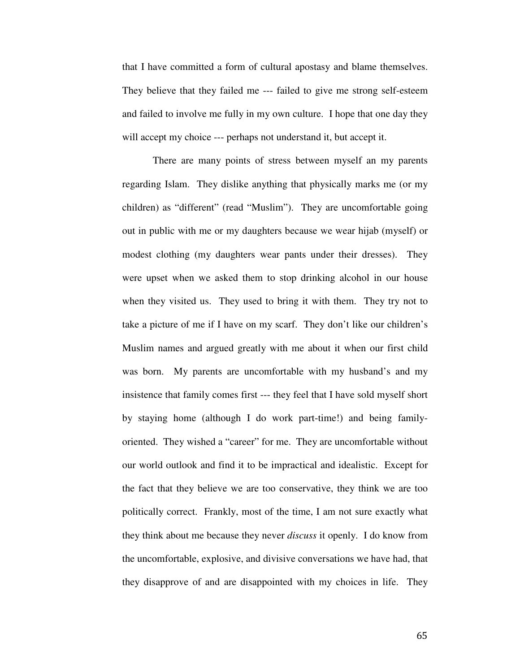that I have committed a form of cultural apostasy and blame themselves. They believe that they failed me --- failed to give me strong self-esteem and failed to involve me fully in my own culture. I hope that one day they will accept my choice --- perhaps not understand it, but accept it.

 There are many points of stress between myself an my parents regarding Islam. They dislike anything that physically marks me (or my children) as "different" (read "Muslim"). They are uncomfortable going out in public with me or my daughters because we wear hijab (myself) or modest clothing (my daughters wear pants under their dresses). They were upset when we asked them to stop drinking alcohol in our house when they visited us. They used to bring it with them. They try not to take a picture of me if I have on my scarf. They don't like our children's Muslim names and argued greatly with me about it when our first child was born. My parents are uncomfortable with my husband's and my insistence that family comes first --- they feel that I have sold myself short by staying home (although I do work part-time!) and being familyoriented. They wished a "career" for me. They are uncomfortable without our world outlook and find it to be impractical and idealistic. Except for the fact that they believe we are too conservative, they think we are too politically correct. Frankly, most of the time, I am not sure exactly what they think about me because they never *discuss* it openly. I do know from the uncomfortable, explosive, and divisive conversations we have had, that they disapprove of and are disappointed with my choices in life. They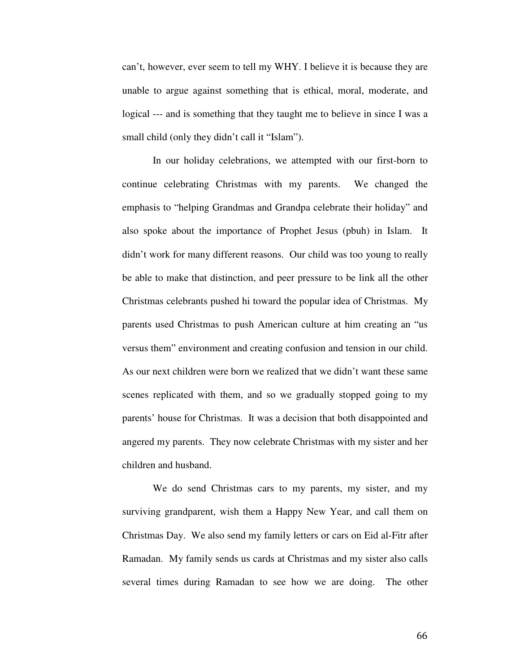can't, however, ever seem to tell my WHY. I believe it is because they are unable to argue against something that is ethical, moral, moderate, and logical --- and is something that they taught me to believe in since I was a small child (only they didn't call it "Islam").

 In our holiday celebrations, we attempted with our first-born to continue celebrating Christmas with my parents. We changed the emphasis to "helping Grandmas and Grandpa celebrate their holiday" and also spoke about the importance of Prophet Jesus (pbuh) in Islam. It didn't work for many different reasons. Our child was too young to really be able to make that distinction, and peer pressure to be link all the other Christmas celebrants pushed hi toward the popular idea of Christmas. My parents used Christmas to push American culture at him creating an "us versus them" environment and creating confusion and tension in our child. As our next children were born we realized that we didn't want these same scenes replicated with them, and so we gradually stopped going to my parents' house for Christmas. It was a decision that both disappointed and angered my parents. They now celebrate Christmas with my sister and her children and husband.

 We do send Christmas cars to my parents, my sister, and my surviving grandparent, wish them a Happy New Year, and call them on Christmas Day. We also send my family letters or cars on Eid al-Fitr after Ramadan. My family sends us cards at Christmas and my sister also calls several times during Ramadan to see how we are doing. The other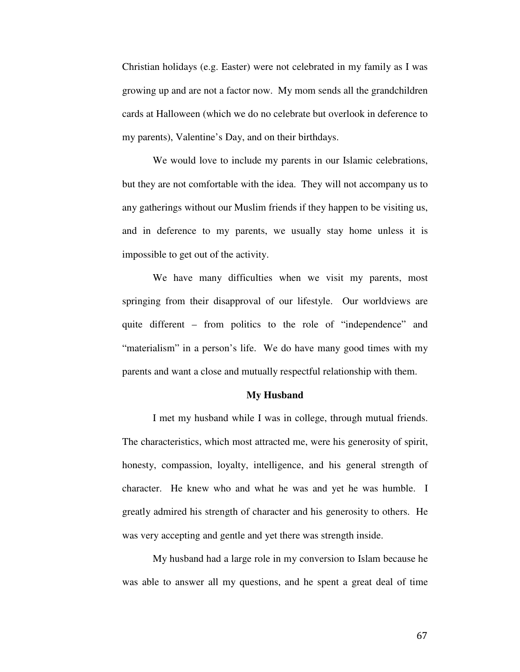Christian holidays (e.g. Easter) were not celebrated in my family as I was growing up and are not a factor now. My mom sends all the grandchildren cards at Halloween (which we do no celebrate but overlook in deference to my parents), Valentine's Day, and on their birthdays.

 We would love to include my parents in our Islamic celebrations, but they are not comfortable with the idea. They will not accompany us to any gatherings without our Muslim friends if they happen to be visiting us, and in deference to my parents, we usually stay home unless it is impossible to get out of the activity.

 We have many difficulties when we visit my parents, most springing from their disapproval of our lifestyle. Our worldviews are quite different – from politics to the role of "independence" and "materialism" in a person's life. We do have many good times with my parents and want a close and mutually respectful relationship with them.

### **My Husband**

I met my husband while I was in college, through mutual friends. The characteristics, which most attracted me, were his generosity of spirit, honesty, compassion, loyalty, intelligence, and his general strength of character. He knew who and what he was and yet he was humble. I greatly admired his strength of character and his generosity to others. He was very accepting and gentle and yet there was strength inside.

 My husband had a large role in my conversion to Islam because he was able to answer all my questions, and he spent a great deal of time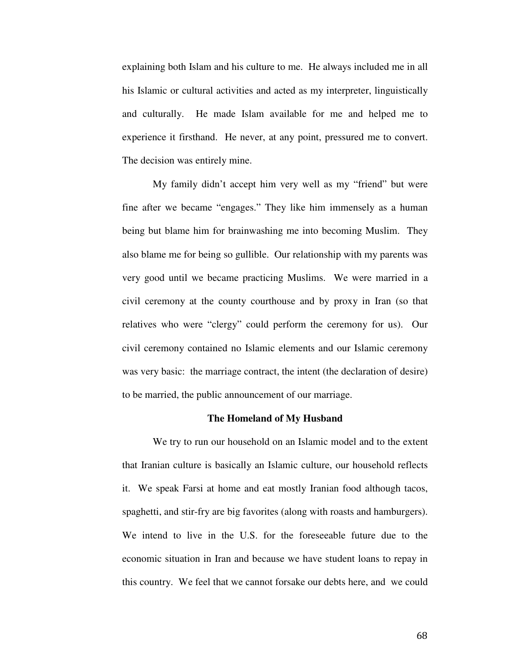explaining both Islam and his culture to me. He always included me in all his Islamic or cultural activities and acted as my interpreter, linguistically and culturally. He made Islam available for me and helped me to experience it firsthand. He never, at any point, pressured me to convert. The decision was entirely mine.

 My family didn't accept him very well as my "friend" but were fine after we became "engages." They like him immensely as a human being but blame him for brainwashing me into becoming Muslim. They also blame me for being so gullible. Our relationship with my parents was very good until we became practicing Muslims. We were married in a civil ceremony at the county courthouse and by proxy in Iran (so that relatives who were "clergy" could perform the ceremony for us). Our civil ceremony contained no Islamic elements and our Islamic ceremony was very basic: the marriage contract, the intent (the declaration of desire) to be married, the public announcement of our marriage.

#### **The Homeland of My Husband**

 We try to run our household on an Islamic model and to the extent that Iranian culture is basically an Islamic culture, our household reflects it. We speak Farsi at home and eat mostly Iranian food although tacos, spaghetti, and stir-fry are big favorites (along with roasts and hamburgers). We intend to live in the U.S. for the foreseeable future due to the economic situation in Iran and because we have student loans to repay in this country. We feel that we cannot forsake our debts here, and we could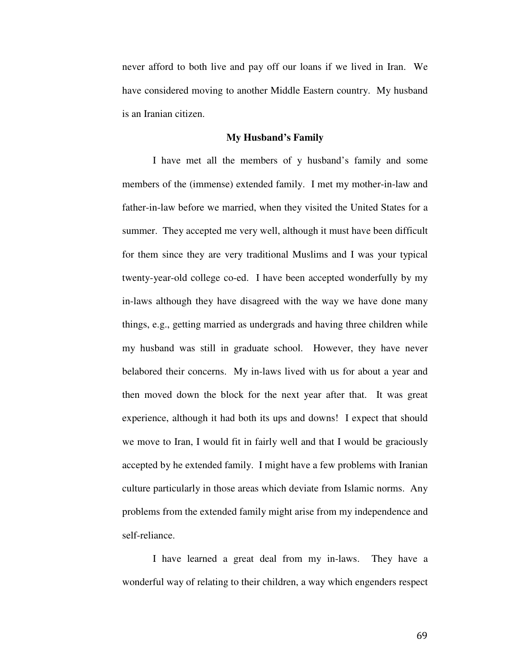never afford to both live and pay off our loans if we lived in Iran. We have considered moving to another Middle Eastern country. My husband is an Iranian citizen.

### **My Husband's Family**

 I have met all the members of y husband's family and some members of the (immense) extended family. I met my mother-in-law and father-in-law before we married, when they visited the United States for a summer. They accepted me very well, although it must have been difficult for them since they are very traditional Muslims and I was your typical twenty-year-old college co-ed. I have been accepted wonderfully by my in-laws although they have disagreed with the way we have done many things, e.g., getting married as undergrads and having three children while my husband was still in graduate school. However, they have never belabored their concerns. My in-laws lived with us for about a year and then moved down the block for the next year after that. It was great experience, although it had both its ups and downs! I expect that should we move to Iran, I would fit in fairly well and that I would be graciously accepted by he extended family. I might have a few problems with Iranian culture particularly in those areas which deviate from Islamic norms. Any problems from the extended family might arise from my independence and self-reliance.

 I have learned a great deal from my in-laws. They have a wonderful way of relating to their children, a way which engenders respect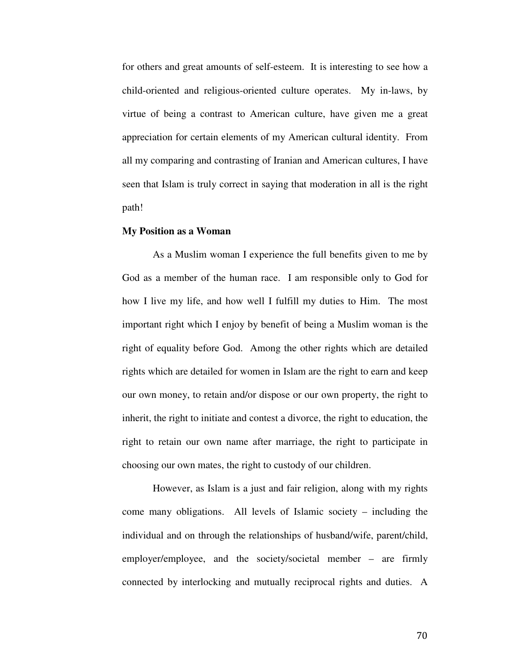for others and great amounts of self-esteem. It is interesting to see how a child-oriented and religious-oriented culture operates. My in-laws, by virtue of being a contrast to American culture, have given me a great appreciation for certain elements of my American cultural identity. From all my comparing and contrasting of Iranian and American cultures, I have seen that Islam is truly correct in saying that moderation in all is the right path!

#### **My Position as a Woman**

As a Muslim woman I experience the full benefits given to me by God as a member of the human race. I am responsible only to God for how I live my life, and how well I fulfill my duties to Him. The most important right which I enjoy by benefit of being a Muslim woman is the right of equality before God. Among the other rights which are detailed rights which are detailed for women in Islam are the right to earn and keep our own money, to retain and/or dispose or our own property, the right to inherit, the right to initiate and contest a divorce, the right to education, the right to retain our own name after marriage, the right to participate in choosing our own mates, the right to custody of our children.

 However, as Islam is a just and fair religion, along with my rights come many obligations. All levels of Islamic society – including the individual and on through the relationships of husband/wife, parent/child, employer/employee, and the society/societal member – are firmly connected by interlocking and mutually reciprocal rights and duties. A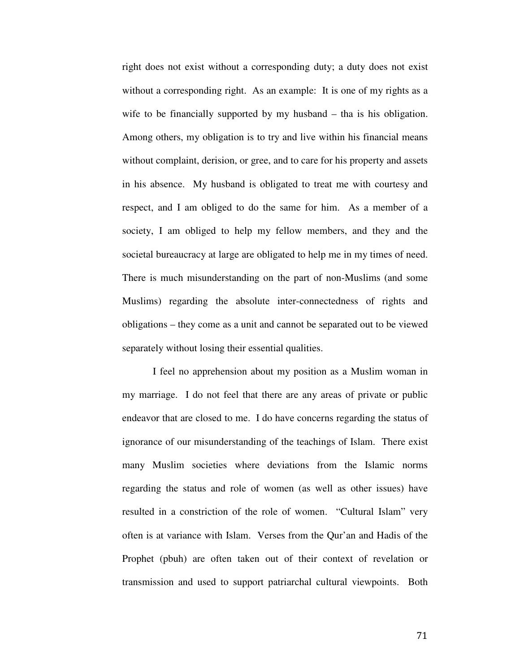right does not exist without a corresponding duty; a duty does not exist without a corresponding right. As an example: It is one of my rights as a wife to be financially supported by my husband – tha is his obligation. Among others, my obligation is to try and live within his financial means without complaint, derision, or gree, and to care for his property and assets in his absence. My husband is obligated to treat me with courtesy and respect, and I am obliged to do the same for him. As a member of a society, I am obliged to help my fellow members, and they and the societal bureaucracy at large are obligated to help me in my times of need. There is much misunderstanding on the part of non-Muslims (and some Muslims) regarding the absolute inter-connectedness of rights and obligations – they come as a unit and cannot be separated out to be viewed separately without losing their essential qualities.

 I feel no apprehension about my position as a Muslim woman in my marriage. I do not feel that there are any areas of private or public endeavor that are closed to me. I do have concerns regarding the status of ignorance of our misunderstanding of the teachings of Islam. There exist many Muslim societies where deviations from the Islamic norms regarding the status and role of women (as well as other issues) have resulted in a constriction of the role of women. "Cultural Islam" very often is at variance with Islam. Verses from the Qur'an and Hadis of the Prophet (pbuh) are often taken out of their context of revelation or transmission and used to support patriarchal cultural viewpoints. Both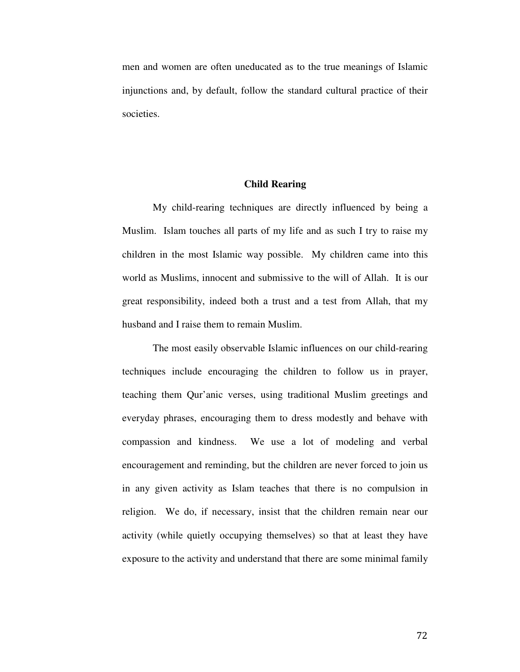men and women are often uneducated as to the true meanings of Islamic injunctions and, by default, follow the standard cultural practice of their societies.

## **Child Rearing**

 My child-rearing techniques are directly influenced by being a Muslim. Islam touches all parts of my life and as such I try to raise my children in the most Islamic way possible. My children came into this world as Muslims, innocent and submissive to the will of Allah. It is our great responsibility, indeed both a trust and a test from Allah, that my husband and I raise them to remain Muslim.

 The most easily observable Islamic influences on our child-rearing techniques include encouraging the children to follow us in prayer, teaching them Qur'anic verses, using traditional Muslim greetings and everyday phrases, encouraging them to dress modestly and behave with compassion and kindness. We use a lot of modeling and verbal encouragement and reminding, but the children are never forced to join us in any given activity as Islam teaches that there is no compulsion in religion. We do, if necessary, insist that the children remain near our activity (while quietly occupying themselves) so that at least they have exposure to the activity and understand that there are some minimal family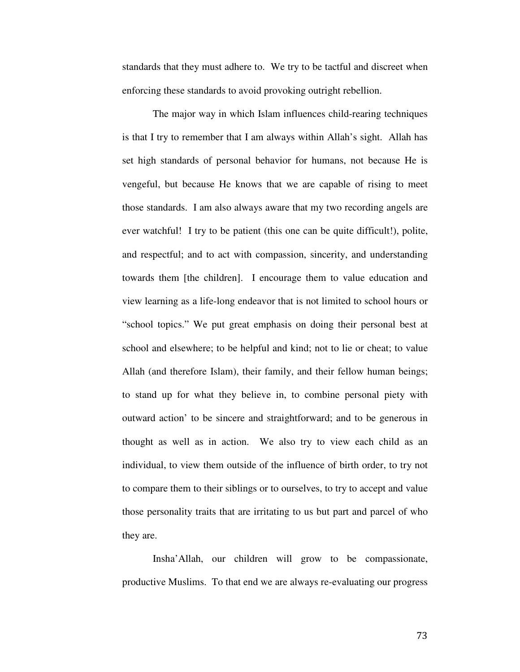standards that they must adhere to. We try to be tactful and discreet when enforcing these standards to avoid provoking outright rebellion.

 The major way in which Islam influences child-rearing techniques is that I try to remember that I am always within Allah's sight. Allah has set high standards of personal behavior for humans, not because He is vengeful, but because He knows that we are capable of rising to meet those standards. I am also always aware that my two recording angels are ever watchful! I try to be patient (this one can be quite difficult!), polite, and respectful; and to act with compassion, sincerity, and understanding towards them [the children]. I encourage them to value education and view learning as a life-long endeavor that is not limited to school hours or "school topics." We put great emphasis on doing their personal best at school and elsewhere; to be helpful and kind; not to lie or cheat; to value Allah (and therefore Islam), their family, and their fellow human beings; to stand up for what they believe in, to combine personal piety with outward action' to be sincere and straightforward; and to be generous in thought as well as in action. We also try to view each child as an individual, to view them outside of the influence of birth order, to try not to compare them to their siblings or to ourselves, to try to accept and value those personality traits that are irritating to us but part and parcel of who they are.

 Insha'Allah, our children will grow to be compassionate, productive Muslims. To that end we are always re-evaluating our progress

73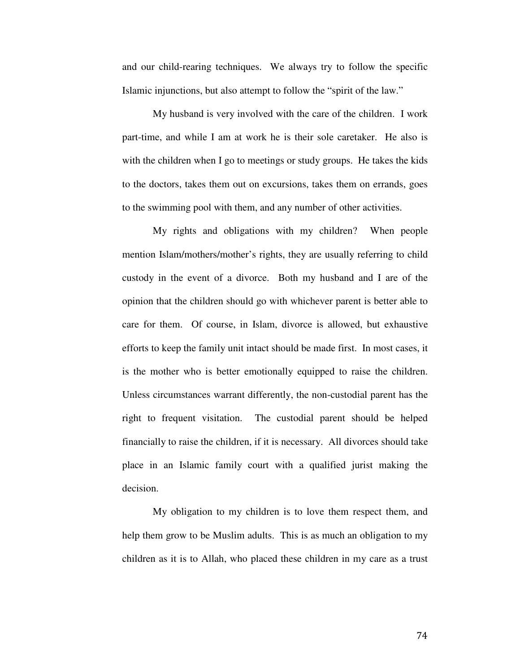and our child-rearing techniques. We always try to follow the specific Islamic injunctions, but also attempt to follow the "spirit of the law."

 My husband is very involved with the care of the children. I work part-time, and while I am at work he is their sole caretaker. He also is with the children when I go to meetings or study groups. He takes the kids to the doctors, takes them out on excursions, takes them on errands, goes to the swimming pool with them, and any number of other activities.

 My rights and obligations with my children? When people mention Islam/mothers/mother's rights, they are usually referring to child custody in the event of a divorce. Both my husband and I are of the opinion that the children should go with whichever parent is better able to care for them. Of course, in Islam, divorce is allowed, but exhaustive efforts to keep the family unit intact should be made first. In most cases, it is the mother who is better emotionally equipped to raise the children. Unless circumstances warrant differently, the non-custodial parent has the right to frequent visitation. The custodial parent should be helped financially to raise the children, if it is necessary. All divorces should take place in an Islamic family court with a qualified jurist making the decision.

 My obligation to my children is to love them respect them, and help them grow to be Muslim adults. This is as much an obligation to my children as it is to Allah, who placed these children in my care as a trust

74